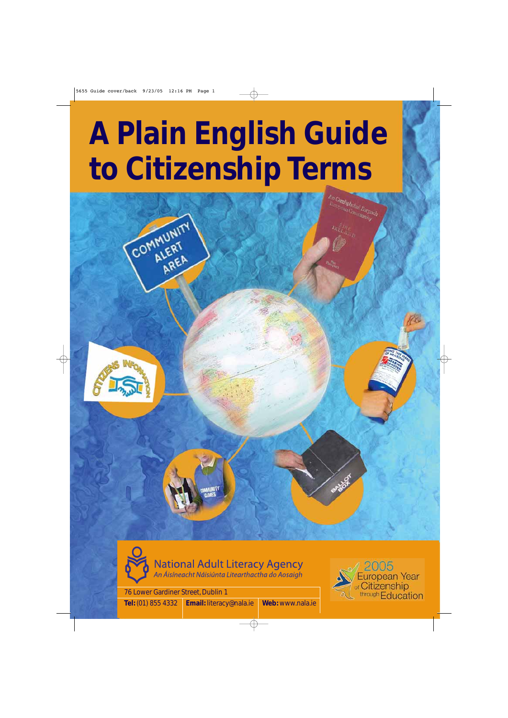# **A Plain English Guide to Citizenship Terms**



COMMUNITY





National Adult Literacy Agency<br>An Áisíneacht Náisiúnta Litearthactha do Aosaigh

76 Lower Gardiner Street, Dublin 1 **Tel:** (01) 855 4332 **Email:** literacy@nala.ie **Web:** www.nala.ie



Combphobal Eorpor anphobal Eorpa<br><sup>Can Caninunity</sup>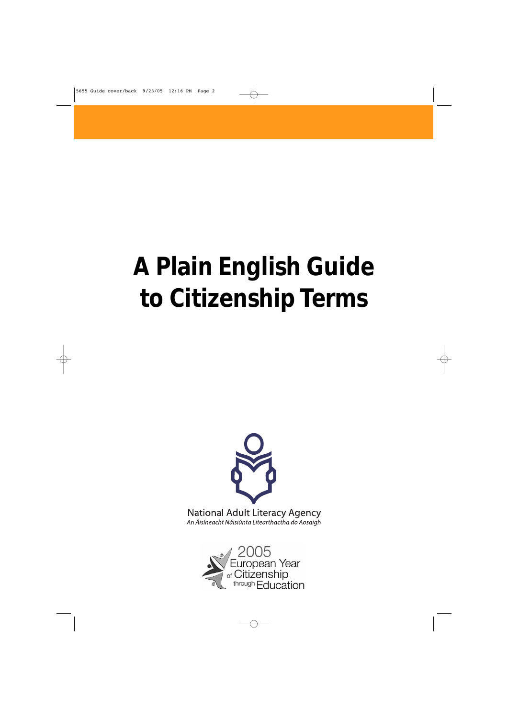# **A Plain English Guide to Citizenship Terms**



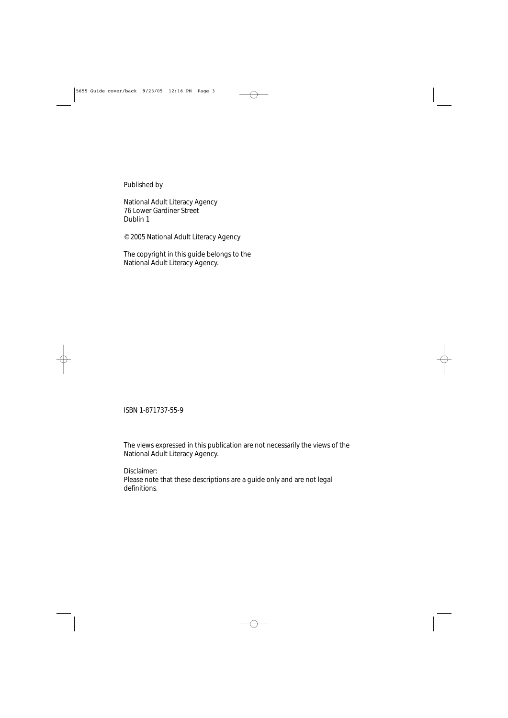Published by

National Adult Literacy Agency 76 Lower Gardiner Street Dublin 1

© 2005 National Adult Literacy Agency

The copyright in this guide belongs to the National Adult Literacy Agency.

ISBN 1-871737-55-9

The views expressed in this publication are not necessarily the views of the National Adult Literacy Agency.

Disclaimer: Please note that these descriptions are a guide only and are not legal definitions.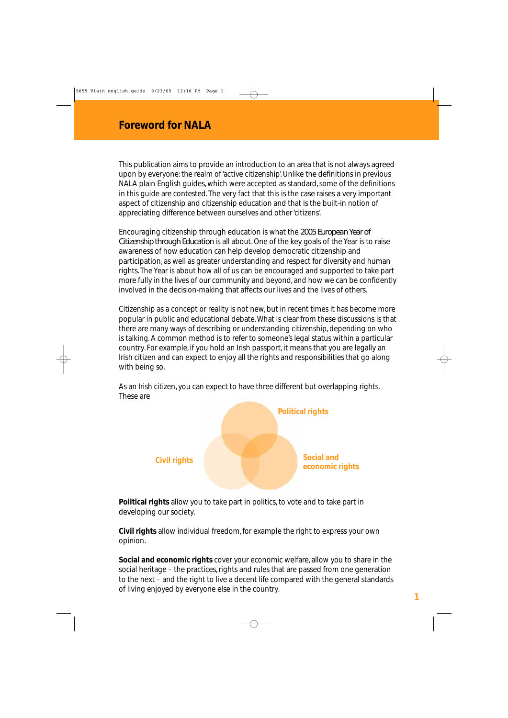This publication aims to provide an introduction to an area that is not always agreed upon by everyone: the realm of 'active citizenship'. Unlike the definitions in previous NALA plain English guides, which were accepted as standard, some of the definitions in this guide are contested. The very fact that this is the case raises a very important aspect of citizenship and citizenship education and that is the built-in notion of appreciating difference between ourselves and other 'citizens'.

Encouraging citizenship through education is what the *2005 European Year of Citizenship through Education* is all about. One of the key goals of the Year is to raise awareness of how education can help develop democratic citizenship and participation, as well as greater understanding and respect for diversity and human rights. The Year is about how all of us can be encouraged and supported to take part more fully in the lives of our community and beyond, and how we can be confidently involved in the decision-making that affects our lives and the lives of others.

Citizenship as a concept or reality is not new, but in recent times it has become more popular in public and educational debate. What is clear from these discussions is that there are many ways of describing or understanding citizenship, depending on who is talking. A common method is to refer to someone's legal status within a particular country. For example, if you hold an Irish passport, it means that you are legally an Irish citizen and can expect to enjoy all the rights and responsibilities that go along with being so.

As an Irish citizen, you can expect to have three different but overlapping rights. These are



**Political rights** allow you to take part in politics, to vote and to take part in developing our society.

**Civil rights** allow individual freedom, for example the right to express your own opinion.

**Social and economic rights** cover your economic welfare, allow you to share in the social heritage – the practices, rights and rules that are passed from one generation to the next – and the right to live a decent life compared with the general standards of living enjoyed by everyone else in the country.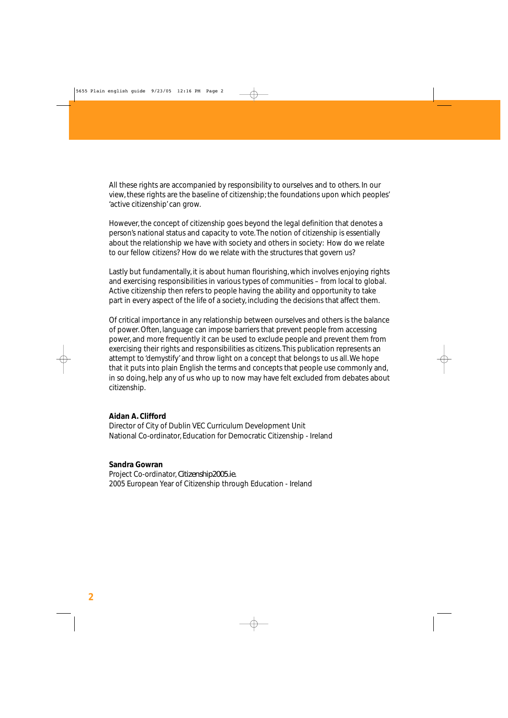All these rights are accompanied by responsibility to ourselves and to others. In our view, these rights are the baseline of citizenship; the foundations upon which peoples' 'active citizenship' can grow.

However, the concept of citizenship goes beyond the legal definition that denotes a person's national status and capacity to vote. The notion of citizenship is essentially about the relationship we have with society and others in society: How do we relate to our fellow citizens? How do we relate with the structures that govern us?

Lastly but fundamentally, it is about human flourishing, which involves enjoying rights and exercising responsibilities in various types of communities – from local to global. Active citizenship then refers to people having the ability and opportunity to take part in every aspect of the life of a society, including the decisions that affect them.

Of critical importance in any relationship between ourselves and others is the balance of power. Often, language can impose barriers that prevent people from accessing power, and more frequently it can be used to exclude people and prevent them from exercising their rights and responsibilities as citizens. This publication represents an attempt to 'demystify' and throw light on a concept that belongs to us all. We hope that it puts into plain English the terms and concepts that people use commonly and, in so doing, help any of us who up to now may have felt excluded from debates about citizenship.

#### **Aidan A. Clifford**

Director of City of Dublin VEC Curriculum Development Unit National Co-ordinator, Education for Democratic Citizenship - Ireland

#### **Sandra Gowran**

Project Co-ordinator, *Citizenship2005.ie.* 2005 European Year of Citizenship through Education - Ireland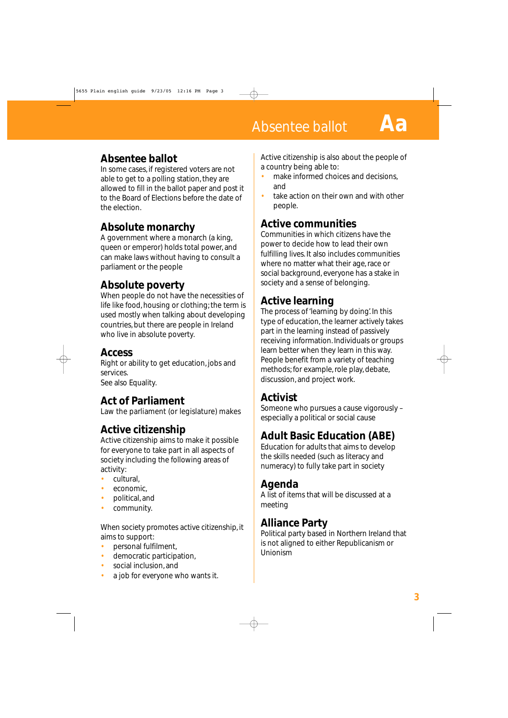#### **Absentee ballot**

In some cases, if registered voters are not able to get to a polling station, they are allowed to fill in the ballot paper and post it to the Board of Elections before the date of the election.

#### **Absolute monarchy**

A government where a monarch (a king, queen or emperor) holds total power, and can make laws without having to consult a parliament or the people

## **Absolute poverty**

When people do not have the necessities of life like food, housing or clothing; the term is used mostly when talking about developing countries, but there are people in Ireland who live in absolute poverty.

#### **Access**

Right or ability to get education, jobs and services. See also Equality.

## **Act of Parliament**

Law the parliament (or legislature) makes

# **Active citizenship**

Active citizenship aims to make it possible for everyone to take part in all aspects of society including the following areas of activity:

- cultural,
- economic.
- political, and
- community.

When society promotes active citizenship, it aims to support:

- personal fulfilment,
- democratic participation,
- social inclusion, and
- a job for everyone who wants it.

Active citizenship is also about the people of a country being able to:

- make informed choices and decisions. and
- take action on their own and with other people.

## **Active communities**

Communities in which citizens have the power to decide how to lead their own fulfilling lives. It also includes communities where no matter what their age, race or social background, everyone has a stake in society and a sense of belonging.

# **Active learning**

The process of 'learning by doing'. In this type of education, the learner actively takes part in the learning instead of passively receiving information. Individuals or groups learn better when they learn in this way. People benefit from a variety of teaching methods; for example, role play, debate, discussion, and project work.

## **Activist**

Someone who pursues a cause vigorously – especially a political or social cause

# **Adult Basic Education (ABE)**

Education for adults that aims to develop the skills needed (such as literacy and numeracy) to fully take part in society

## **Agenda**

A list of items that will be discussed at a meeting

#### **Alliance Party**

Political party based in Northern Ireland that is not aligned to either Republicanism or Unionism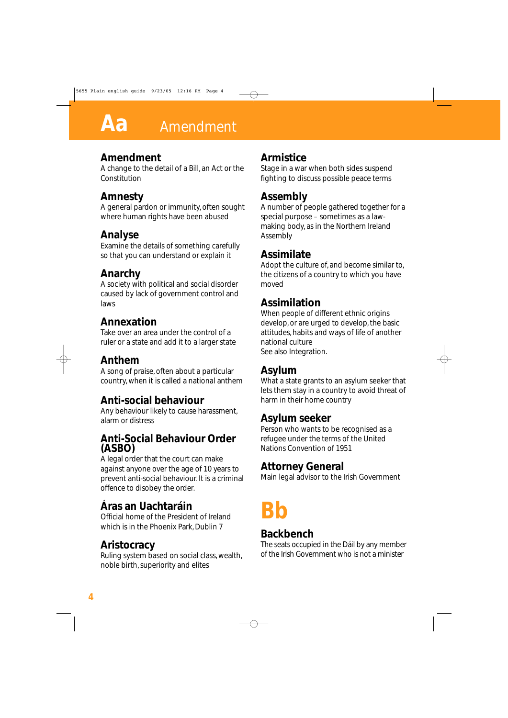#### **Amendment**

A change to the detail of a Bill, an Act or the Constitution

## **Amnesty**

A general pardon or immunity, often sought where human rights have been abused

#### **Analyse**

Examine the details of something carefully so that you can understand or explain it

## **Anarchy**

A society with political and social disorder caused by lack of government control and laws

#### **Annexation**

Take over an area under the control of a ruler or a state and add it to a larger state

#### **Anthem**

A song of praise, often about a particular country, when it is called a national anthem

#### **Anti-social behaviour**

Any behaviour likely to cause harassment, alarm or distress

#### **Anti-Social Behaviour Order (ASBO)**

A legal order that the court can make against anyone over the age of 10 years to prevent anti-social behaviour. It is a criminal offence to disobey the order.

# **Áras an Uachtaráin**

Official home of the President of Ireland which is in the Phoenix Park, Dublin 7

## **Aristocracy**

Ruling system based on social class, wealth, noble birth, superiority and elites

#### **Armistice**

Stage in a war when both sides suspend fighting to discuss possible peace terms

## **Assembly**

A number of people gathered together for a special purpose – sometimes as a lawmaking body, as in the Northern Ireland Assembly

#### **Assimilate**

Adopt the culture of, and become similar to, the citizens of a country to which you have moved

## **Assimilation**

When people of different ethnic origins develop, or are urged to develop, the basic attitudes, habits and ways of life of another national culture See also Integration.

#### **Asylum**

What a state grants to an asylum seeker that lets them stay in a country to avoid threat of harm in their home country

#### **Asylum seeker**

Person who wants to be recognised as a refugee under the terms of the United Nations Convention of 1951

#### **Attorney General**

Main legal advisor to the Irish Government

# **Bb**

#### **Backbench**

The seats occupied in the Dáil by any member of the Irish Government who is not a minister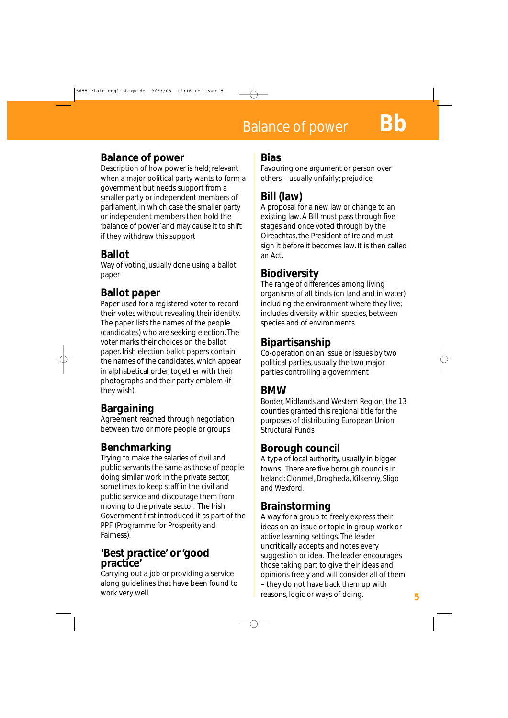#### **Balance of power**

Description of how power is held; relevant when a major political party wants to form a government but needs support from a smaller party or independent members of parliament, in which case the smaller party or independent members then hold the 'balance of power' and may cause it to shift if they withdraw this support

#### **Ballot**

Way of voting, usually done using a ballot paper

#### **Ballot paper**

Paper used for a registered voter to record their votes without revealing their identity. The paper lists the names of the people (candidates) who are seeking election. The voter marks their choices on the ballot paper. Irish election ballot papers contain the names of the candidates, which appear in alphabetical order, together with their photographs and their party emblem (if they wish).

## **Bargaining**

Agreement reached through negotiation between two or more people or groups

## **Benchmarking**

Trying to make the salaries of civil and public servants the same as those of people doing similar work in the private sector, sometimes to keep staff in the civil and public service and discourage them from moving to the private sector. The Irish Government first introduced it as part of the PPF (Programme for Prosperity and Fairness).

#### **'Best practice' or 'good practice'**

Carrying out a job or providing a service along guidelines that have been found to work very well

#### **Bias**

Favouring one argument or person over others – usually unfairly; prejudice

# **Bill (law)**

A proposal for a new law or change to an existing law. A Bill must pass through five stages and once voted through by the Oireachtas, the President of Ireland must sign it before it becomes law. It is then called an Act.

#### **Biodiversity**

The range of differences among living organisms of all kinds (on land and in water) including the environment where they live; includes diversity within species, between species and of environments

#### **Bipartisanship**

Co-operation on an issue or issues by two political parties, usually the two major parties controlling a government

#### **BMW**

Border, Midlands and Western Region, the 13 counties granted this regional title for the purposes of distributing European Union Structural Funds

#### **Borough council**

A type of local authority, usually in bigger towns. There are five borough councils in Ireland: Clonmel, Drogheda, Kilkenny, Sligo and Wexford.

#### **Brainstorming**

A way for a group to freely express their ideas on an issue or topic in group work or active learning settings. The leader uncritically accepts and notes every suggestion or idea. The leader encourages those taking part to give their ideas and opinions freely and will consider all of them – they do not have back them up with reasons, logic or ways of doing. **5**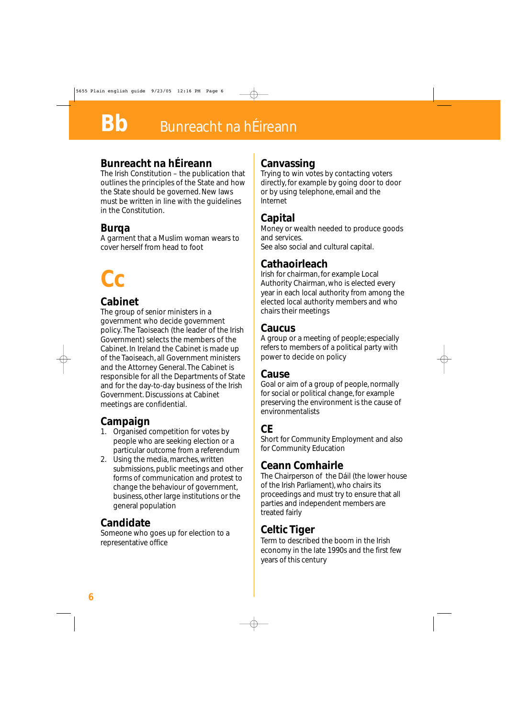#### **Bunreacht na hÉireann**

The Irish Constitution – the publication that outlines the principles of the State and how the State should be governed. New laws must be written in line with the guidelines in the Constitution.

#### **Burqa**

A garment that a Muslim woman wears to cover herself from head to foot

# **Cc**

#### **Cabinet**

The group of senior ministers in a government who decide government policy. The Taoiseach (the leader of the Irish Government) selects the members of the Cabinet. In Ireland the Cabinet is made up of the Taoiseach, all Government ministers and the Attorney General. The Cabinet is responsible for all the Departments of State and for the day-to-day business of the Irish Government. Discussions at Cabinet meetings are confidential.

# **Campaign**

- 1. Organised competition for votes by people who are seeking election or a particular outcome from a referendum
- 2. Using the media, marches, written submissions, public meetings and other forms of communication and protest to change the behaviour of government, business, other large institutions or the general population

## **Candidate**

Someone who goes up for election to a representative office

## **Canvassing**

Trying to win votes by contacting voters directly, for example by going door to door or by using telephone, email and the Internet

## **Capital**

Money or wealth needed to produce goods and services. See also social and cultural capital.

#### **Cathaoirleach**

Irish for chairman, for example Local Authority Chairman, who is elected every year in each local authority from among the elected local authority members and who chairs their meetings

#### **Caucus**

A group or a meeting of people; especially refers to members of a political party with power to decide on policy

#### **Cause**

Goal or aim of a group of people, normally for social or political change, for example preserving the environment is the cause of environmentalists

## **CE**

Short for Community Employment and also for Community Education

## **Ceann Comhairle**

The Chairperson of the Dáil (the lower house of the Irish Parliament), who chairs its proceedings and must try to ensure that all parties and independent members are treated fairly

#### **Celtic Tiger**

Term to described the boom in the Irish economy in the late 1990s and the first few years of this century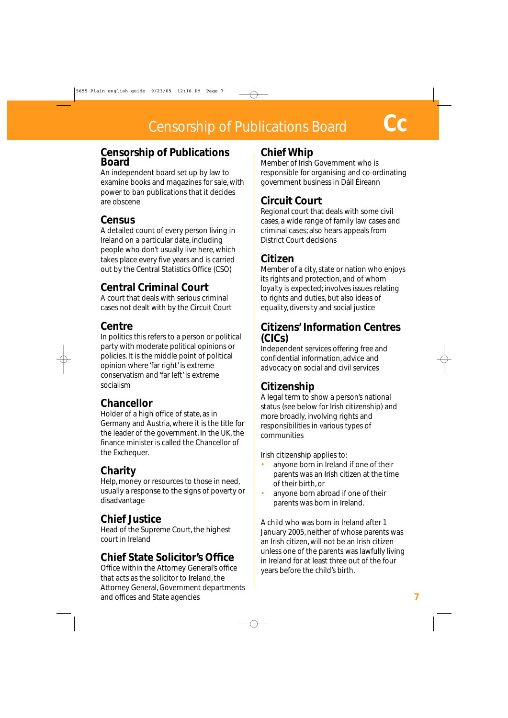#### **Censorship of Publications Board**

An independent board set up by law to examine books and magazines for sale, with power to ban publications that it decides are obscene

#### **Census**

A detailed count of every person living in Ireland on a particular date, including people who don't usually live here, which takes place every five years and is carried out by the Central Statistics Office (CSO)

## **Central Criminal Court**

A court that deals with serious criminal cases not dealt with by the Circuit Court

## **Centre**

In politics this refers to a person or political party with moderate political opinions or policies. It is the middle point of political opinion where 'far right' is extreme conservatism and 'far left' is extreme socialism

## **Chancellor**

Holder of a high office of state, as in Germany and Austria, where it is the title for the leader of the government. In the UK, the finance minister is called the Chancellor of the Exchequer.

## **Charity**

Help, money or resources to those in need, usually a response to the signs of poverty or disadvantage

## **Chief Justice**

Head of the Supreme Court, the highest court in Ireland

## **Chief State Solicitor's Office**

Office within the Attorney General's office that acts as the solicitor to Ireland, the Attorney General, Government departments and offices and State agencies

#### **Chief Whip**

Member of Irish Government who is responsible for organising and co-ordinating government business in Dáil Éireann

## **Circuit Court**

Regional court that deals with some civil cases, a wide range of family law cases and criminal cases; also hears appeals from District Court decisions

#### **Citizen**

Member of a city, state or nation who enjoys its rights and protection, and of whom loyalty is expected; involves issues relating to rights and duties, but also ideas of equality, diversity and social justice

#### **Citizens' Information Centres (CICs)**

Independent services offering free and confidential information, advice and advocacy on social and civil services

## **Citizenship**

A legal term to show a person's national status (see below for Irish citizenship) and more broadly, involving rights and responsibilities in various types of communities

Irish citizenship applies to:

- anyone born in Ireland if one of their parents was an Irish citizen at the time of their birth, or
- anyone born abroad if one of their parents was born in Ireland.

A child who was born in Ireland after 1 January 2005, neither of whose parents was an Irish citizen, will not be an Irish citizen unless one of the parents was lawfully living in Ireland for at least three out of the four years before the child's birth.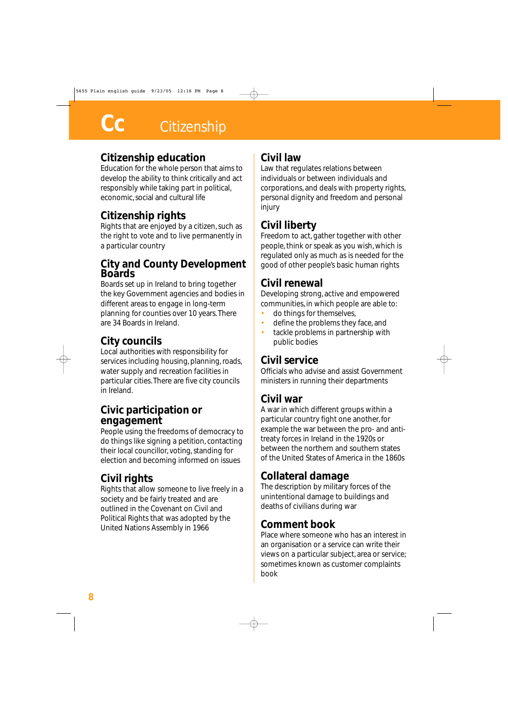#### **Citizenship education**

Education for the whole person that aims to develop the ability to think critically and act responsibly while taking part in political, economic, social and cultural life

#### **Citizenship rights**

Rights that are enjoyed by a citizen, such as the right to vote and to live permanently in a particular country

#### **City and County Development Boards**

Boards set up in Ireland to bring together the key Government agencies and bodies in different areas to engage in long-term planning for counties over 10 years. There are 34 Boards in Ireland.

#### **City councils**

Local authorities with responsibility for services including housing, planning, roads, water supply and recreation facilities in particular cities. There are five city councils in Ireland.

#### **Civic participation or engagement**

People using the freedoms of democracy to do things like signing a petition, contacting their local councillor, voting, standing for election and becoming informed on issues

## **Civil rights**

Rights that allow someone to live freely in a society and be fairly treated and are outlined in the Covenant on Civil and Political Rights that was adopted by the United Nations Assembly in 1966

#### **Civil law**

Law that regulates relations between individuals or between individuals and corporations, and deals with property rights, personal dignity and freedom and personal injury

#### **Civil liberty**

Freedom to act, gather together with other people, think or speak as you wish, which is regulated only as much as is needed for the good of other people's basic human rights

#### **Civil renewal**

Developing strong, active and empowered communities, in which people are able to:

- do things for themselves,
- define the problems they face, and
- tackle problems in partnership with public bodies

#### **Civil service**

Officials who advise and assist Government ministers in running their departments

#### **Civil war**

A war in which different groups within a particular country fight one another, for example the war between the pro- and antitreaty forces in Ireland in the 1920s or between the northern and southern states of the United States of America in the 1860s

#### **Collateral damage**

The description by military forces of the unintentional damage to buildings and deaths of civilians during war

#### **Comment book**

Place where someone who has an interest in an organisation or a service can write their views on a particular subject, area or service; sometimes known as customer complaints book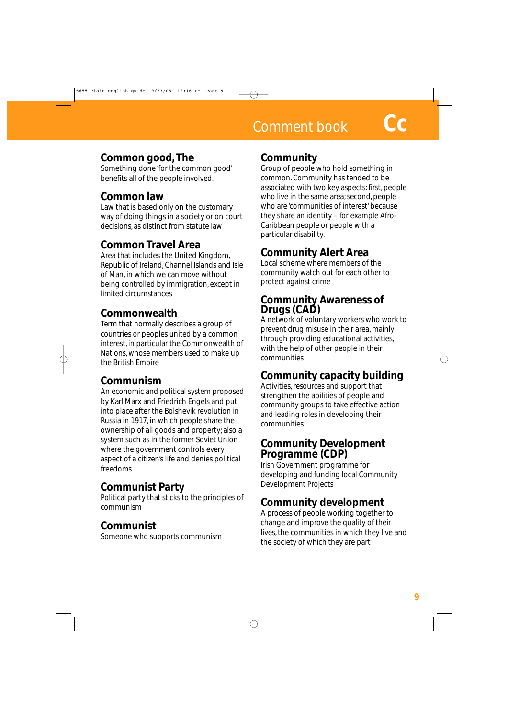# **Comment book**

#### **Common good, The**

Something done 'for the common good' benefits all of the people involved.

# **Common law**

Law that is based only on the customary way of doing things in a society or on court decisions, as distinct from statute law

# **Common Travel Area**

Area that includes the United Kingdom, Republic of Ireland, Channel Islands and Isle of Man, in which we can move without being controlled by immigration, except in limited circumstances

# **Commonwealth**

Term that normally describes a group of countries or peoples united by a common interest, in particular the Commonwealth of Nations, whose members used to make up the British Empire

## **Communism**

An economic and political system proposed by Karl Marx and Friedrich Engels and put into place after the Bolshevik revolution in Russia in 1917, in which people share the ownership of all goods and property; also a system such as in the former Soviet Union where the government controls every aspect of a citizen's life and denies political freedoms

## **Communist Party**

Political party that sticks to the principles of communism

# **Communist**

Someone who supports communism

#### **Community**

Group of people who hold something in common. Community has tended to be associated with two key aspects: first, people who live in the same area; second, people who are 'communities of interest' because they share an identity – for example Afro-Caribbean people or people with a particular disability.

# **Community Alert Area**

Local scheme where members of the community watch out for each other to protect against crime

#### **Community Awareness of Drugs (CAD)**

A network of voluntary workers who work to prevent drug misuse in their area, mainly through providing educational activities, with the help of other people in their communities

## **Community capacity building**

Activities, resources and support that strengthen the abilities of people and community groups to take effective action and leading roles in developing their communities

#### **Community Development Programme (CDP)**

Irish Government programme for developing and funding local Community Development Projects

## **Community development**

A process of people working together to change and improve the quality of their lives, the communities in which they live and the society of which they are part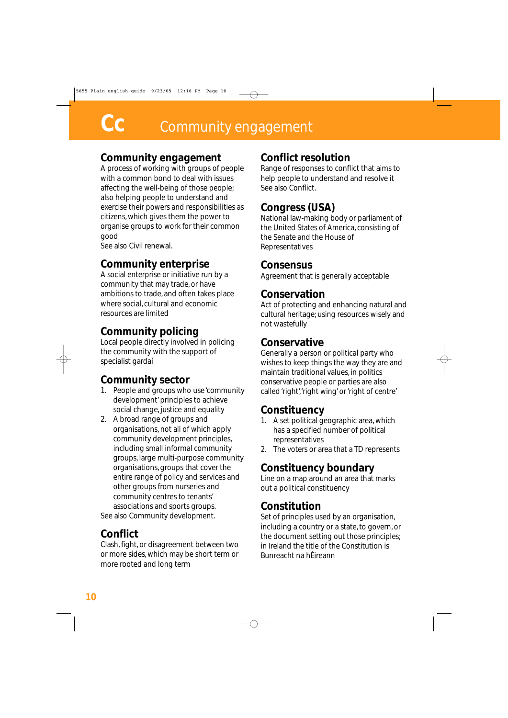#### **Community engagement**

A process of working with groups of people with a common bond to deal with issues affecting the well-being of those people; also helping people to understand and exercise their powers and responsibilities as citizens, which gives them the power to organise groups to work for their common good

See also Civil renewal.

## **Community enterprise**

A social enterprise or initiative run by a community that may trade, or have ambitions to trade, and often takes place where social, cultural and economic resources are limited

## **Community policing**

Local people directly involved in policing the community with the support of specialist gardaí

## **Community sector**

- 1. People and groups who use 'community development' principles to achieve social change, justice and equality
- 2. A broad range of groups and organisations, not all of which apply community development principles, including small informal community groups, large multi-purpose community organisations, groups that cover the entire range of policy and services and other groups from nurseries and community centres to tenants' associations and sports groups.

See also Community development.

## **Conflict**

Clash, fight, or disagreement between two or more sides, which may be short term or more rooted and long term

## **Conflict resolution**

Range of responses to conflict that aims to help people to understand and resolve it See also Conflict.

## **Congress (USA)**

National law-making body or parliament of the United States of America, consisting of the Senate and the House of Representatives

#### **Consensus**

Agreement that is generally acceptable

#### **Conservation**

Act of protecting and enhancing natural and cultural heritage; using resources wisely and not wastefully

#### **Conservative**

Generally a person or political party who wishes to keep things the way they are and maintain traditional values, in politics conservative people or parties are also called 'right','right wing' or 'right of centre'

## **Constituency**

- 1. A set political geographic area, which has a specified number of political representatives
- 2. The voters or area that a TD represents

## **Constituency boundary**

Line on a map around an area that marks out a political constituency

#### **Constitution**

Set of principles used by an organisation, including a country or a state, to govern, or the document setting out those principles; in Ireland the title of the Constitution is Bunreacht na hÉireann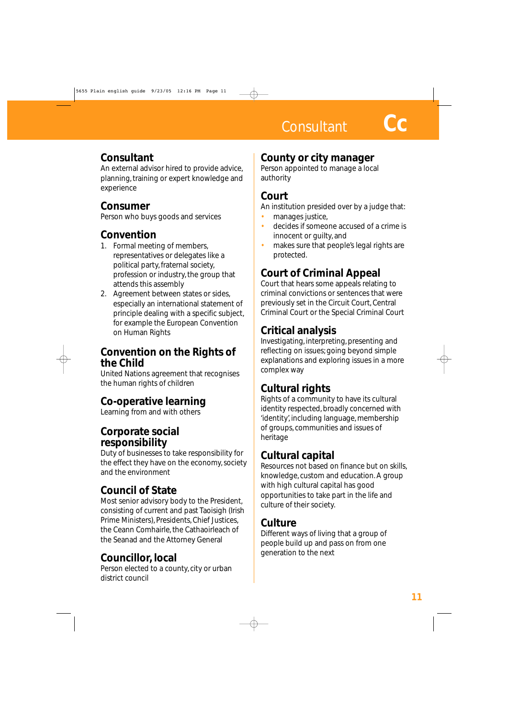## **Consultant**

An external advisor hired to provide advice, planning, training or expert knowledge and experience

## **Consumer**

Person who buys goods and services

## **Convention**

- 1. Formal meeting of members, representatives or delegates like a political party, fraternal society, profession or industry, the group that attends this assembly
- 2. Agreement between states or sides, especially an international statement of principle dealing with a specific subject, for example the European Convention on Human Rights

#### **Convention on the Rights of the Child**

United Nations agreement that recognises the human rights of children

## **Co-operative learning**

Learning from and with others

#### **Corporate social responsibility**

Duty of businesses to take responsibility for the effect they have on the economy, society and the environment

# **Council of State**

Most senior advisory body to the President, consisting of current and past Taoisigh (Irish Prime Ministers), Presidents, Chief Justices, the Ceann Comhairle, the Cathaoirleach of the Seanad and the Attorney General

## **Councillor, local**

Person elected to a county, city or urban district council

# **County or city manager**

Person appointed to manage a local authority

## **Court**

An institution presided over by a judge that:

- manages justice,
- decides if someone accused of a crime is innocent or guilty, and
- makes sure that people's legal rights are protected.

# **Court of Criminal Appeal**

Court that hears some appeals relating to criminal convictions or sentences that were previously set in the Circuit Court, Central Criminal Court or the Special Criminal Court

# **Critical analysis**

Investigating, interpreting, presenting and reflecting on issues; going beyond simple explanations and exploring issues in a more complex way

# **Cultural rights**

Rights of a community to have its cultural identity respected, broadly concerned with 'identity', including language, membership of groups, communities and issues of heritage

## **Cultural capital**

Resources not based on finance but on skills, knowledge, custom and education. A group with high cultural capital has good opportunities to take part in the life and culture of their society.

## **Culture**

Different ways of living that a group of people build up and pass on from one generation to the next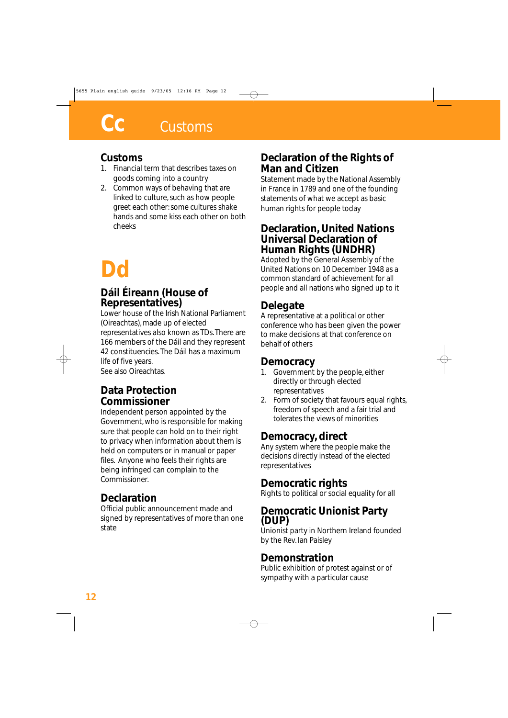#### **Customs**

- 1. Financial term that describes taxes on goods coming into a country
- 2. Common ways of behaving that are linked to culture, such as how people greet each other: some cultures shake hands and some kiss each other on both cheeks

# **Dd**

#### **Dáil Éireann (House of Representatives)**

Lower house of the Irish National Parliament (Oireachtas), made up of elected representatives also known as TDs. There are 166 members of the Dáil and they represent 42 constituencies. The Dáil has a maximum life of five years.

See also Oireachtas.

#### **Data Protection Commissioner**

Independent person appointed by the Government, who is responsible for making sure that people can hold on to their right to privacy when information about them is held on computers or in manual or paper files. Anyone who feels their rights are being infringed can complain to the Commissioner.

## **Declaration**

Official public announcement made and signed by representatives of more than one state

#### **Declaration of the Rights of Man and Citizen**

Statement made by the National Assembly in France in 1789 and one of the founding statements of what we accept as basic human rights for people today

#### **Declaration, United Nations Universal Declaration of Human Rights (UNDHR)**

Adopted by the General Assembly of the United Nations on 10 December 1948 as a common standard of achievement for all people and all nations who signed up to it

## **Delegate**

A representative at a political or other conference who has been given the power to make decisions at that conference on behalf of others

#### **Democracy**

- 1. Government by the people, either directly or through elected representatives
- 2. Form of society that favours equal rights, freedom of speech and a fair trial and tolerates the views of minorities

## **Democracy, direct**

Any system where the people make the decisions directly instead of the elected representatives

## **Democratic rights**

Rights to political or social equality for all

#### **Democratic Unionist Party (DUP)**

Unionist party in Northern Ireland founded by the Rev. Ian Paisley

#### **Demonstration**

Public exhibition of protest against or of sympathy with a particular cause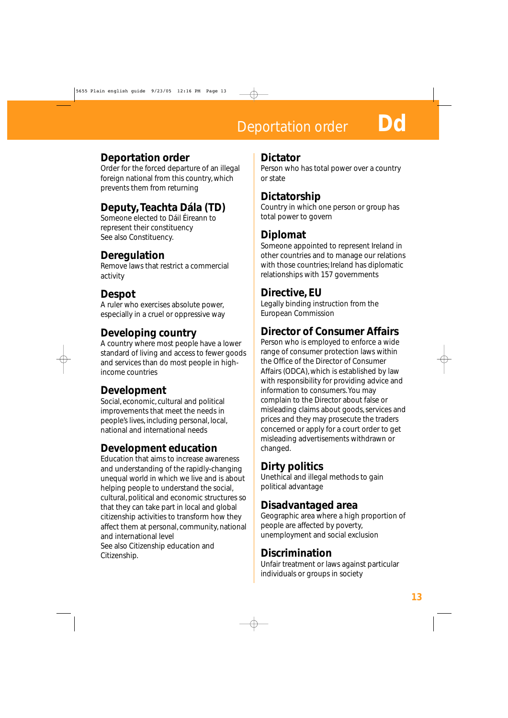**Deportation order Do** 

#### **Deportation order**

Order for the forced departure of an illegal foreign national from this country, which prevents them from returning

## **Deputy, Teachta Dála (TD)**

Someone elected to Dáil Éireann to represent their constituency See also Constituency.

## **Deregulation**

Remove laws that restrict a commercial activity

## **Despot**

A ruler who exercises absolute power, especially in a cruel or oppressive way

## **Developing country**

A country where most people have a lower standard of living and access to fewer goods and services than do most people in highincome countries

## **Development**

Social, economic, cultural and political improvements that meet the needs in people's lives, including personal, local, national and international needs

## **Development education**

Education that aims to increase awareness and understanding of the rapidly-changing unequal world in which we live and is about helping people to understand the social, cultural, political and economic structures so that they can take part in local and global citizenship activities to transform how they affect them at personal, community, national and international level See also Citizenship education and Citizenship.

#### **Dictator**

Person who has total power over a country or state

#### **Dictatorship**

Country in which one person or group has total power to govern

#### **Diplomat**

Someone appointed to represent Ireland in other countries and to manage our relations with those countries; Ireland has diplomatic relationships with 157 governments

#### **Directive, EU**

Legally binding instruction from the European Commission

## **Director of Consumer Affairs**

Person who is employed to enforce a wide range of consumer protection laws within the Office of the Director of Consumer Affairs (ODCA), which is established by law with responsibility for providing advice and information to consumers. You may complain to the Director about false or misleading claims about goods, services and prices and they may prosecute the traders concerned or apply for a court order to get misleading advertisements withdrawn or changed.

## **Dirty politics**

Unethical and illegal methods to gain political advantage

#### **Disadvantaged area**

Geographic area where a high proportion of people are affected by poverty, unemployment and social exclusion

#### **Discrimination**

Unfair treatment or laws against particular individuals or groups in society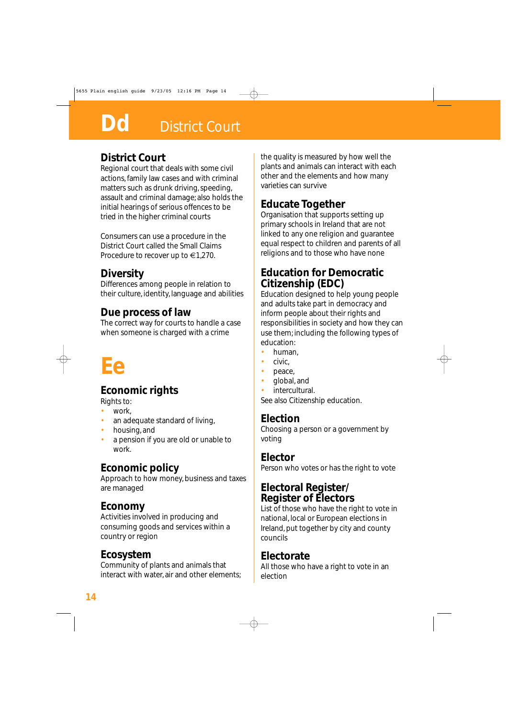#### **District Court**

Regional court that deals with some civil actions, family law cases and with criminal matters such as drunk driving, speeding, assault and criminal damage; also holds the initial hearings of serious offences to be tried in the higher criminal courts

Consumers can use a procedure in the District Court called the Small Claims Procedure to recover up to €1,270.

## **Diversity**

Differences among people in relation to their culture, identity, language and abilities

#### **Due process of law**

The correct way for courts to handle a case when someone is charged with a crime

# **Ee**

## **Economic rights**

Rights to:

- work,
- an adequate standard of living,
- housing, and
- a pension if you are old or unable to work.

## **Economic policy**

Approach to how money, business and taxes are managed

#### **Economy**

Activities involved in producing and consuming goods and services within a country or region

#### **Ecosystem**

Community of plants and animals that interact with water, air and other elements; the quality is measured by how well the plants and animals can interact with each other and the elements and how many varieties can survive

## **Educate Together**

Organisation that supports setting up primary schools in Ireland that are not linked to any one religion and guarantee equal respect to children and parents of all religions and to those who have none

#### **Education for Democratic Citizenship (EDC)**

Education designed to help young people and adults take part in democracy and inform people about their rights and responsibilities in society and how they can use them; including the following types of education:

- human,
- civic,
- peace,
- global, and
- intercultural.

See also Citizenship education.

#### **Election**

Choosing a person or a government by voting

#### **Elector**

Person who votes or has the right to vote

#### **Electoral Register/ Register of Electors**

List of those who have the right to vote in national, local or European elections in Ireland, put together by city and county councils

#### **Electorate**

All those who have a right to vote in an election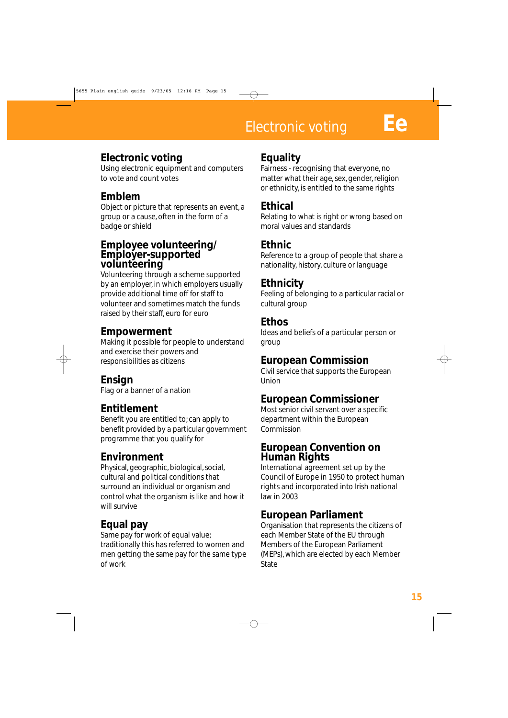# Electronic voting **Ee**

#### **Electronic voting**

Using electronic equipment and computers to vote and count votes

# **Emblem**

Object or picture that represents an event, a group or a cause, often in the form of a badge or shield

#### **Employee volunteering/ Employer-supported volunteering**

Volunteering through a scheme supported by an employer, in which employers usually provide additional time off for staff to volunteer and sometimes match the funds raised by their staff, euro for euro

#### **Empowerment**

Making it possible for people to understand and exercise their powers and responsibilities as citizens

## **Ensign**

Flag or a banner of a nation

## **Entitlement**

Benefit you are entitled to; can apply to benefit provided by a particular government programme that you qualify for

## **Environment**

Physical, geographic, biological, social, cultural and political conditions that surround an individual or organism and control what the organism is like and how it will survive

# **Equal pay**

Same pay for work of equal value; traditionally this has referred to women and men getting the same pay for the same type of work

#### **Equality**

Fairness - recognising that everyone, no matter what their age, sex, gender, religion or ethnicity, is entitled to the same rights

#### **Ethical**

Relating to what is right or wrong based on moral values and standards

#### **Ethnic**

Reference to a group of people that share a nationality, history, culture or language

#### **Ethnicity**

Feeling of belonging to a particular racial or cultural group

#### **Ethos**

Ideas and beliefs of a particular person or group

#### **European Commission**

Civil service that supports the European Union

#### **European Commissioner**

Most senior civil servant over a specific department within the European Commission

#### **European Convention on Human Rights**

International agreement set up by the Council of Europe in 1950 to protect human rights and incorporated into Irish national law in 2003

## **European Parliament**

Organisation that represents the citizens of each Member State of the EU through Members of the European Parliament (MEPs), which are elected by each Member **State**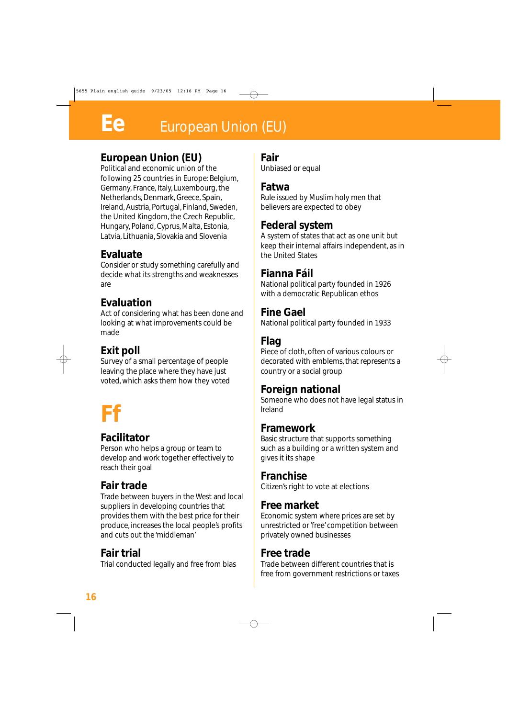# **Ee** European Union (EU)

## **European Union (EU)**

Political and economic union of the following 25 countries in Europe: Belgium, Germany, France, Italy, Luxembourg, the Netherlands, Denmark, Greece, Spain, Ireland, Austria, Portugal, Finland, Sweden, the United Kingdom, the Czech Republic, Hungary, Poland, Cyprus, Malta, Estonia, Latvia, Lithuania, Slovakia and Slovenia

#### **Evaluate**

Consider or study something carefully and decide what its strengths and weaknesses are

#### **Evaluation**

Act of considering what has been done and looking at what improvements could be made

## **Exit poll**

Survey of a small percentage of people leaving the place where they have just voted, which asks them how they voted

# **Ff**

#### **Facilitator**

Person who helps a group or team to develop and work together effectively to reach their goal

## **Fair trade**

Trade between buyers in the West and local suppliers in developing countries that provides them with the best price for their produce, increases the local people's profits and cuts out the 'middleman'

## **Fair trial**

Trial conducted legally and free from bias

#### **Fair**

Unbiased or equal

#### **Fatwa**

Rule issued by Muslim holy men that believers are expected to obey

#### **Federal system**

A system of states that act as one unit but keep their internal affairs independent, as in the United States

#### **Fianna Fáil**

National political party founded in 1926 with a democratic Republican ethos

#### **Fine Gael**

National political party founded in 1933

## **Flag**

Piece of cloth, often of various colours or decorated with emblems, that represents a country or a social group

## **Foreign national**

Someone who does not have legal status in Ireland

#### **Framework**

Basic structure that supports something such as a building or a written system and gives it its shape

#### **Franchise**

Citizen's right to vote at elections

#### **Free market**

Economic system where prices are set by unrestricted or 'free' competition between privately owned businesses

#### **Free trade**

Trade between different countries that is free from government restrictions or taxes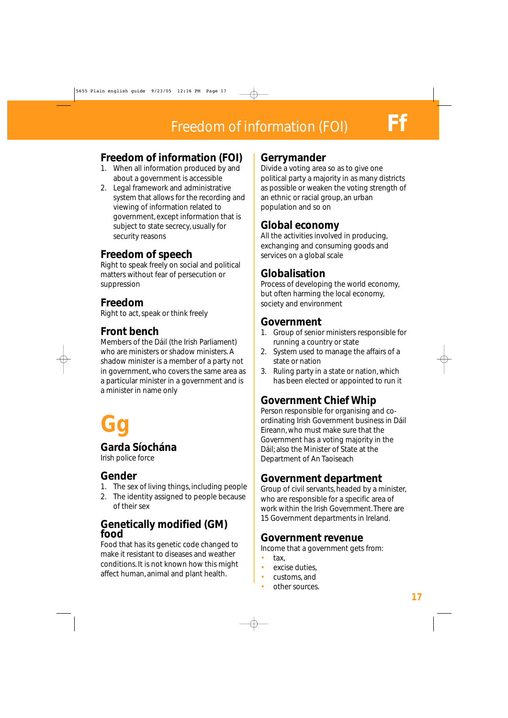#### **Freedom of information (FOI)**

- 1. When all information produced by and about a government is accessible
- 2. Legal framework and administrative system that allows for the recording and viewing of information related to government, except information that is subject to state secrecy, usually for security reasons

#### **Freedom of speech**

Right to speak freely on social and political matters without fear of persecution or suppression

# **Freedom**

Right to act, speak or think freely

## **Front bench**

Members of the Dáil (the Irish Parliament) who are ministers or shadow ministers. A shadow minister is a member of a party not in government, who covers the same area as a particular minister in a government and is a minister in name only



#### **Garda Síochána**

Irish police force

## **Gender**

- 1. The sex of living things, including people
- 2. The identity assigned to people because of their sex

#### **Genetically modified (GM) food**

Food that has its genetic code changed to make it resistant to diseases and weather conditions. It is not known how this might affect human, animal and plant health.

#### **Gerrymander**

Divide a voting area so as to give one political party a majority in as many districts as possible or weaken the voting strength of an ethnic or racial group, an urban population and so on

## **Global economy**

All the activities involved in producing, exchanging and consuming goods and services on a global scale

#### **Globalisation**

Process of developing the world economy, but often harming the local economy, society and environment

#### **Government**

- 1. Group of senior ministers responsible for running a country or state
- 2. System used to manage the affairs of a state or nation
- 3. Ruling party in a state or nation, which has been elected or appointed to run it

# **Government Chief Whip**

Person responsible for organising and coordinating Irish Government business in Dáil Eireann, who must make sure that the Government has a voting majority in the Dáil; also the Minister of State at the Department of An Taoiseach

## **Government department**

Group of civil servants, headed by a minister, who are responsible for a specific area of work within the Irish Government. There are 15 Government departments in Ireland.

#### **Government revenue**

Income that a government gets from:

- tax,
- excise duties.
- customs, and
- other sources.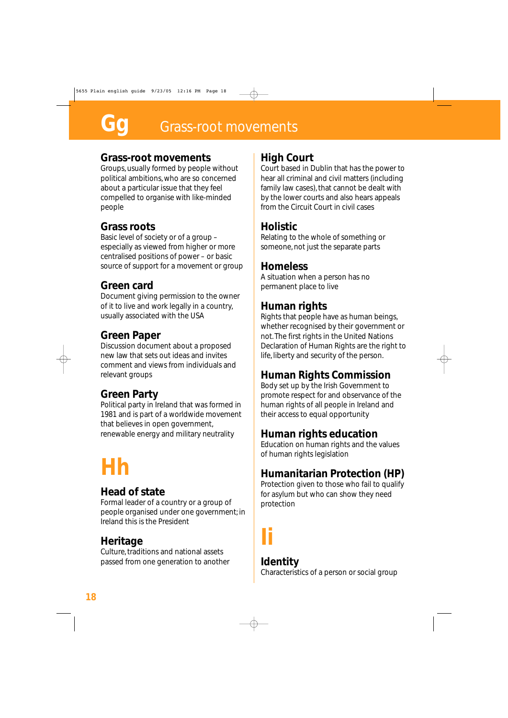#### **Grass-root movements**

Groups, usually formed by people without political ambitions, who are so concerned about a particular issue that they feel compelled to organise with like-minded people

#### **Grass roots**

Basic level of society or of a group – especially as viewed from higher or more centralised positions of power – or basic source of support for a movement or group

#### **Green card**

Document giving permission to the owner of it to live and work legally in a country, usually associated with the USA

#### **Green Paper**

Discussion document about a proposed new law that sets out ideas and invites comment and views from individuals and relevant groups

#### **Green Party**

Political party in Ireland that was formed in 1981 and is part of a worldwide movement that believes in open government, renewable energy and military neutrality

# **Hh**

#### **Head of state**

Formal leader of a country or a group of people organised under one government; in Ireland this is the President

## **Heritage**

Culture, traditions and national assets passed from one generation to another

#### **High Court**

Court based in Dublin that has the power to hear all criminal and civil matters (including family law cases), that cannot be dealt with by the lower courts and also hears appeals from the Circuit Court in civil cases

#### **Holistic**

Relating to the whole of something or someone, not just the separate parts

#### **Homeless**

A situation when a person has no permanent place to live

## **Human rights**

Rights that people have as human beings, whether recognised by their government or not. The first rights in the United Nations Declaration of Human Rights are the right to life, liberty and security of the person.

## **Human Rights Commission**

Body set up by the Irish Government to promote respect for and observance of the human rights of all people in Ireland and their access to equal opportunity

## **Human rights education**

Education on human rights and the values of human rights legislation

## **Humanitarian Protection (HP)**

Protection given to those who fail to qualify for asylum but who can show they need protection

# **Ii**

#### **Identity**

Characteristics of a person or social group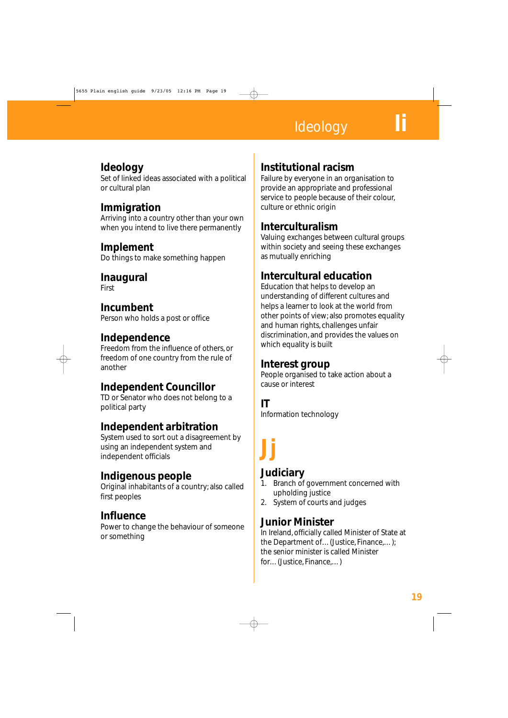# **Ideology**

#### **Ideology**

Set of linked ideas associated with a political or cultural plan

#### **Immigration**

Arriving into a country other than your own when you intend to live there permanently

#### **Implement**

Do things to make something happen

#### **Inaugural**

First

#### **Incumbent**

Person who holds a post or office

#### **Independence**

Freedom from the influence of others, or freedom of one country from the rule of another

#### **Independent Councillor**

TD or Senator who does not belong to a political party

#### **Independent arbitration**

System used to sort out a disagreement by using an independent system and independent officials

#### **Indigenous people**

Original inhabitants of a country; also called first peoples

#### **Influence**

Power to change the behaviour of someone or something

#### **Institutional racism**

Failure by everyone in an organisation to provide an appropriate and professional service to people because of their colour, culture or ethnic origin

#### **Interculturalism**

Valuing exchanges between cultural groups within society and seeing these exchanges as mutually enriching

#### **Intercultural education**

Education that helps to develop an understanding of different cultures and helps a learner to look at the world from other points of view; also promotes equality and human rights, challenges unfair discrimination, and provides the values on which equality is built

#### **Interest group**

People organised to take action about a cause or interest

#### **IT**

Information technology

# **Jj**

#### **Judiciary**

- 1. Branch of government concerned with upholding justice
- 2. System of courts and judges

#### **Junior Minister**

In Ireland, officially called Minister of State at the Department of…(Justice, Finance,…); the senior minister is called Minister for…(Justice, Finance,…)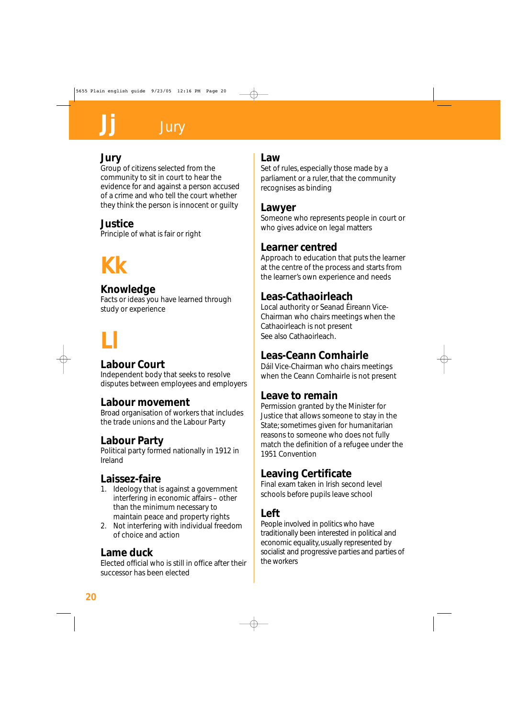#### **Jury**

Group of citizens selected from the community to sit in court to hear the evidence for and against a person accused of a crime and who tell the court whether they think the person is innocent or guilty

## **Justice**

Principle of what is fair or right

# **Kk**

#### **Knowledge**

Facts or ideas you have learned through study or experience

# **Ll**

## **Labour Court**

Independent body that seeks to resolve disputes between employees and employers

#### **Labour movement**

Broad organisation of workers that includes the trade unions and the Labour Party

## **Labour Party**

Political party formed nationally in 1912 in Ireland

## **Laissez-faire**

- 1. Ideology that is against a government interfering in economic affairs – other than the minimum necessary to maintain peace and property rights
- 2. Not interfering with individual freedom of choice and action

#### **Lame duck**

Elected official who is still in office after their successor has been elected

#### **Law**

Set of rules, especially those made by a parliament or a ruler, that the community recognises as binding

#### **Lawyer**

Someone who represents people in court or who gives advice on legal matters

#### **Learner centred**

Approach to education that puts the learner at the centre of the process and starts from the learner's own experience and needs

## **Leas-Cathaoirleach**

Local authority or Seanad Éireann Vice-Chairman who chairs meetings when the Cathaoirleach is not present See also Cathaoirleach.

## **Leas-Ceann Comhairle**

Dáil Vice-Chairman who chairs meetings when the Ceann Comhairle is not present

## **Leave to remain**

Permission granted by the Minister for Justice that allows someone to stay in the State; sometimes given for humanitarian reasons to someone who does not fully match the definition of a refugee under the 1951 Convention

## **Leaving Certificate**

Final exam taken in Irish second level schools before pupils leave school

## **Left**

People involved in politics who have traditionally been interested in political and economic equality, usually represented by socialist and progressive parties and parties of the workers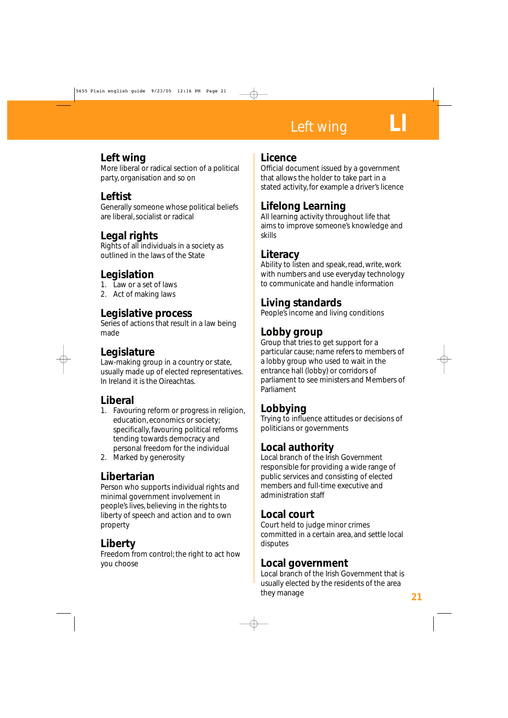# Left wing

#### **Left wing**

More liberal or radical section of a political party, organisation and so on

## **Leftist**

Generally someone whose political beliefs are liberal, socialist or radical

#### **Legal rights**

Rights of all individuals in a society as outlined in the laws of the State

#### **Legislation**

- 1. Law or a set of laws
- 2. Act of making laws

#### **Legislative process**

Series of actions that result in a law being made

#### **Legislature**

Law-making group in a country or state, usually made up of elected representatives. In Ireland it is the Oireachtas.

## **Liberal**

- 1. Favouring reform or progress in religion, education, economics or society; specifically, favouring political reforms tending towards democracy and personal freedom for the individual
- 2. Marked by generosity

#### **Libertarian**

Person who supports individual rights and minimal government involvement in people's lives, believing in the rights to liberty of speech and action and to own property

## **Liberty**

Freedom from control; the right to act how you choose

#### **Licence**

Official document issued by a government that allows the holder to take part in a stated activity, for example a driver's licence

#### **Lifelong Learning**

All learning activity throughout life that aims to improve someone's knowledge and skills

#### **Literacy**

Ability to listen and speak, read, write, work with numbers and use everyday technology to communicate and handle information

## **Living standards**

People's income and living conditions

#### **Lobby group**

Group that tries to get support for a particular cause; name refers to members of a lobby group who used to wait in the entrance hall (lobby) or corridors of parliament to see ministers and Members of Parliament

## **Lobbying**

Trying to influence attitudes or decisions of politicians or governments

#### **Local authority**

Local branch of the Irish Government responsible for providing a wide range of public services and consisting of elected members and full-time executive and administration staff

#### **Local court**

Court held to judge minor crimes committed in a certain area, and settle local disputes

#### **Local government**

Local branch of the Irish Government that is usually elected by the residents of the area they manage **21**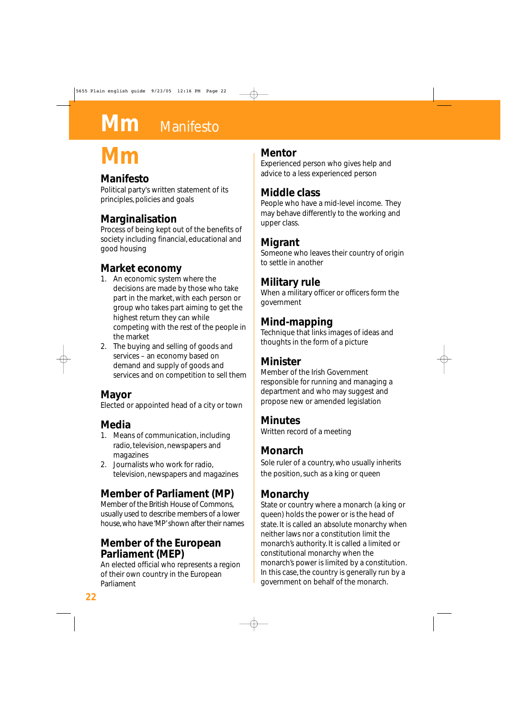# **Mm** Manifesto

# **Mm**

#### **Manifesto**

Political party's written statement of its principles, policies and goals

## **Marginalisation**

Process of being kept out of the benefits of society including financial, educational and good housing

## **Market economy**

- 1. An economic system where the decisions are made by those who take part in the market, with each person or group who takes part aiming to get the highest return they can while competing with the rest of the people in the market
- 2. The buying and selling of goods and services – an economy based on demand and supply of goods and services and on competition to sell them

#### **Mayor**

Elected or appointed head of a city or town

# **Media**

- 1. Means of communication, including radio, television, newspapers and magazines
- 2. Journalists who work for radio, television, newspapers and magazines

# **Member of Parliament (MP)**

Member of the British House of Commons, usually used to describe members of a lower house, who have 'MP'shown after their names

#### **Member of the European Parliament (MEP)**

An elected official who represents a region of their own country in the European Parliament

#### **Mentor**

Experienced person who gives help and advice to a less experienced person

## **Middle class**

People who have a mid-level income. They may behave differently to the working and upper class.

#### **Migrant**

Someone who leaves their country of origin to settle in another

#### **Military rule**

When a military officer or officers form the government

#### **Mind-mapping**

Technique that links images of ideas and thoughts in the form of a picture

#### **Minister**

Member of the Irish Government responsible for running and managing a department and who may suggest and propose new or amended legislation

#### **Minutes**

Written record of a meeting

## **Monarch**

Sole ruler of a country, who usually inherits the position, such as a king or queen

## **Monarchy**

State or country where a monarch (a king or queen) holds the power or is the head of state. It is called an absolute monarchy when neither laws nor a constitution limit the monarch's authority. It is called a limited or constitutional monarchy when the monarch's power is limited by a constitution. In this case, the country is generally run by a government on behalf of the monarch.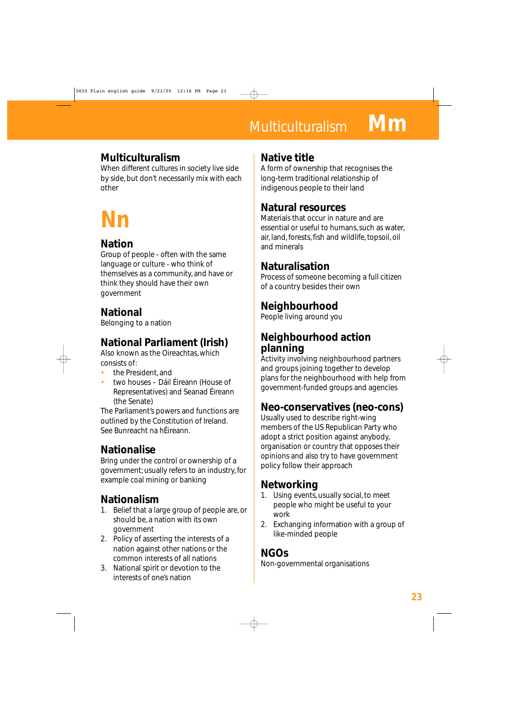# Multiculturalism **Mm**

#### **Multiculturalism**

When different cultures in society live side by side, but don't necessarily mix with each other

# **Nn**

## **Nation**

Group of people - often with the same language or culture - who think of themselves as a community, and have or think they should have their own government

## **National**

Belonging to a nation

# **National Parliament (Irish)**

Also known as the Oireachtas, which consists of:

- the President, and
- two houses Dáil Éireann (House of Representatives) and Seanad Éireann (the Senate)

The Parliament's powers and functions are outlined by the Constitution of Ireland. See Bunreacht na hÉireann.

## **Nationalise**

Bring under the control or ownership of a government; usually refers to an industry, for example coal mining or banking

## **Nationalism**

- 1. Belief that a large group of people are, or should be, a nation with its own government
- 2. Policy of asserting the interests of a nation against other nations or the common interests of all nations
- 3. National spirit or devotion to the interests of one's nation

#### **Native title**

A form of ownership that recognises the long-term traditional relationship of indigenous people to their land

#### **Natural resources**

Materials that occur in nature and are essential or useful to humans, such as water, air, land, forests, fish and wildlife, topsoil, oil and minerals

## **Naturalisation**

Process of someone becoming a full citizen of a country besides their own

# **Neighbourhood**

People living around you

#### **Neighbourhood action planning**

Activity involving neighbourhood partners and groups joining together to develop plans for the neighbourhood with help from government-funded groups and agencies

## **Neo-conservatives (neo-cons)**

Usually used to describe right-wing members of the US Republican Party who adopt a strict position against anybody, organisation or country that opposes their opinions and also try to have government policy follow their approach

## **Networking**

- 1. Using events, usually social, to meet people who might be useful to your work
- 2. Exchanging information with a group of like-minded people

## **NGOs**

Non-governmental organisations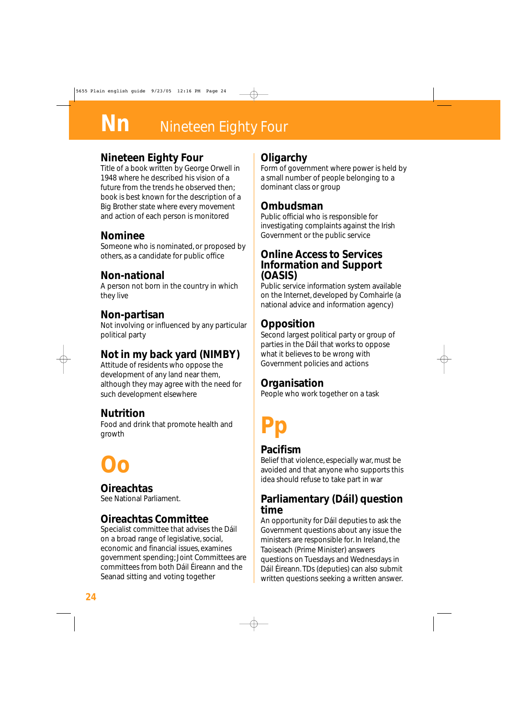# **Nn** Nineteen Eighty Four

#### **Nineteen Eighty Four**

Title of a book written by George Orwell in 1948 where he described his vision of a future from the trends he observed then; book is best known for the description of a Big Brother state where every movement and action of each person is monitored

#### **Nominee**

Someone who is nominated, or proposed by others, as a candidate for public office

#### **Non-national**

A person not born in the country in which they live

#### **Non-partisan**

Not involving or influenced by any particular political party

## **Not in my back yard (NIMBY)**

Attitude of residents who oppose the development of any land near them, although they may agree with the need for such development elsewhere

#### **Nutrition**

Food and drink that promote health and growth

# **Oo**

**Oireachtas**

# See National Parliament.

#### **Oireachtas Committee**

Specialist committee that advises the Dáil on a broad range of legislative, social, economic and financial issues, examines government spending; Joint Committees are committees from both Dáil Éireann and the Seanad sitting and voting together

#### **Oligarchy**

Form of government where power is held by a small number of people belonging to a dominant class or group

#### **Ombudsman**

Public official who is responsible for investigating complaints against the Irish Government or the public service

#### **Online Access to Services Information and Support (OASIS)**

Public service information system available on the Internet, developed by Comhairle (a national advice and information agency)

#### **Opposition**

Second largest political party or group of parties in the Dáil that works to oppose what it believes to be wrong with Government policies and actions

#### **Organisation**

People who work together on a task

# **Pp**

#### **Pacifism**

Belief that violence, especially war, must be avoided and that anyone who supports this idea should refuse to take part in war

#### **Parliamentary (Dáil) question time**

An opportunity for Dáil deputies to ask the Government questions about any issue the ministers are responsible for. In Ireland, the Taoiseach (Prime Minister) answers questions on Tuesdays and Wednesdays in Dáil Éireann. TDs (deputies) can also submit written questions seeking a written answer.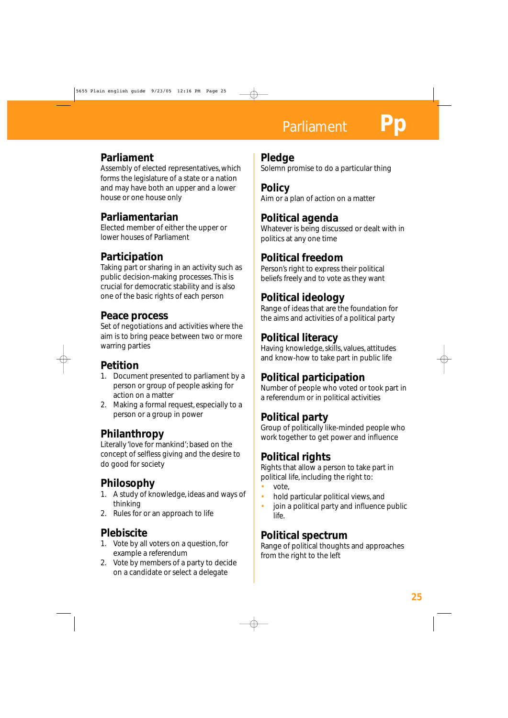# **Parliament**

#### **Parliament**

Assembly of elected representatives, which forms the legislature of a state or a nation and may have both an upper and a lower house or one house only

#### **Parliamentarian**

Elected member of either the upper or lower houses of Parliament

## **Participation**

Taking part or sharing in an activity such as public decision-making processes. This is crucial for democratic stability and is also one of the basic rights of each person

#### **Peace process**

Set of negotiations and activities where the aim is to bring peace between two or more warring parties

#### **Petition**

- 1. Document presented to parliament by a person or group of people asking for action on a matter
- 2. Making a formal request, especially to a person or a group in power

#### **Philanthropy**

Literally 'love for mankind'; based on the concept of selfless giving and the desire to do good for society

## **Philosophy**

- 1. A study of knowledge, ideas and ways of thinking
- 2. Rules for or an approach to life

## **Plebiscite**

- 1. Vote by all voters on a question, for example a referendum
- 2. Vote by members of a party to decide on a candidate or select a delegate

#### **Pledge**

Solemn promise to do a particular thing

**Policy** Aim or a plan of action on a matter

#### **Political agenda**

Whatever is being discussed or dealt with in politics at any one time

#### **Political freedom**

Person's right to express their political beliefs freely and to vote as they want

## **Political ideology**

Range of ideas that are the foundation for the aims and activities of a political party

#### **Political literacy**

Having knowledge, skills, values, attitudes and know-how to take part in public life

## **Political participation**

Number of people who voted or took part in a referendum or in political activities

## **Political party**

Group of politically like-minded people who work together to get power and influence

## **Political rights**

Rights that allow a person to take part in political life, including the right to:

- vote,
- hold particular political views, and
- join a political party and influence public life.

#### **Political spectrum**

Range of political thoughts and approaches from the right to the left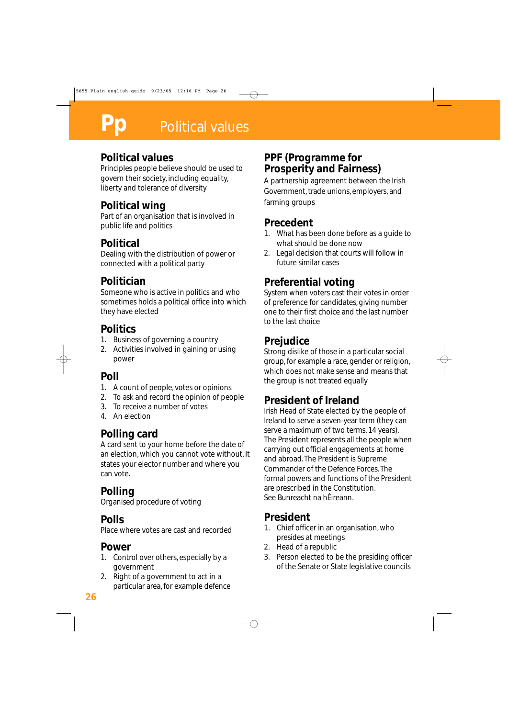#### **Political values**

Principles people believe should be used to govern their society, including equality, liberty and tolerance of diversity

#### **Political wing**

Part of an organisation that is involved in public life and politics

#### **Political**

Dealing with the distribution of power or connected with a political party

## **Politician**

Someone who is active in politics and who sometimes holds a political office into which they have elected

#### **Politics**

- 1. Business of governing a country
- 2. Activities involved in gaining or using power

## **Poll**

- 1. A count of people, votes or opinions
- 2. To ask and record the opinion of people
- 3. To receive a number of votes
- 4. An election

# **Polling card**

A card sent to your home before the date of an election, which you cannot vote without. It states your elector number and where you can vote.

# **Polling**

Organised procedure of voting

## **Polls**

Place where votes are cast and recorded

# **Power**

- 1. Control over others, especially by a government
- 2. Right of a government to act in a particular area, for example defence

#### **PPF (Programme for Prosperity and Fairness)**

A partnership agreement between the Irish Government, trade unions, employers, and farming groups

## **Precedent**

- 1. What has been done before as a guide to what should be done now
- 2. Legal decision that courts will follow in future similar cases

# **Preferential voting**

System when voters cast their votes in order of preference for candidates, giving number one to their first choice and the last number to the last choice

## **Prejudice**

Strong dislike of those in a particular social group, for example a race, gender or religion, which does not make sense and means that the group is not treated equally

## **President of Ireland**

Irish Head of State elected by the people of Ireland to serve a seven-year term (they can serve a maximum of two terms, 14 years). The President represents all the people when carrying out official engagements at home and abroad. The President is Supreme Commander of the Defence Forces. The formal powers and functions of the President are prescribed in the Constitution. See Bunreacht na hÉireann.

## **President**

- 1. Chief officer in an organisation, who presides at meetings
- 2. Head of a republic
- 3. Person elected to be the presiding officer of the Senate or State legislative councils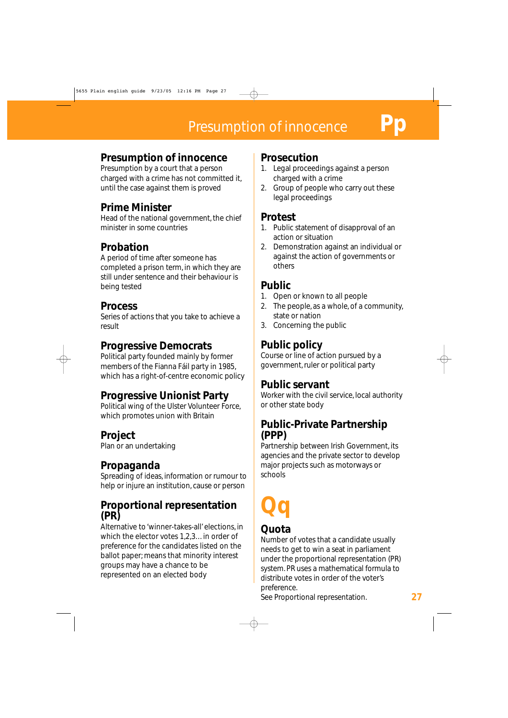#### **Presumption of innocence**

Presumption by a court that a person charged with a crime has not committed it, until the case against them is proved

#### **Prime Minister**

Head of the national government, the chief minister in some countries

#### **Probation**

A period of time after someone has completed a prison term, in which they are still under sentence and their behaviour is being tested

#### **Process**

Series of actions that you take to achieve a result

#### **Progressive Democrats**

Political party founded mainly by former members of the Fianna Fáil party in 1985, which has a right-of-centre economic policy

#### **Progressive Unionist Party**

Political wing of the Ulster Volunteer Force, which promotes union with Britain

#### **Project**

Plan or an undertaking

#### **Propaganda**

Spreading of ideas, information or rumour to help or injure an institution, cause or person

#### **Proportional representation (PR)**

Alternative to 'winner-takes-all' elections, in which the elector votes 1,2,3…in order of preference for the candidates listed on the ballot paper; means that minority interest groups may have a chance to be represented on an elected body

#### **Prosecution**

- 1. Legal proceedings against a person charged with a crime
- 2. Group of people who carry out these legal proceedings

#### **Protest**

- 1. Public statement of disapproval of an action or situation
- 2. Demonstration against an individual or against the action of governments or others

#### **Public**

- 1. Open or known to all people
- 2. The people, as a whole, of a community, state or nation
- 3. Concerning the public

## **Public policy**

Course or line of action pursued by a government, ruler or political party

#### **Public servant**

Worker with the civil service, local authority or other state body

#### **Public-Private Partnership (PPP)**

Partnership between Irish Government, its agencies and the private sector to develop major projects such as motorways or schools

# **Qq**

#### **Quota**

Number of votes that a candidate usually needs to get to win a seat in parliament under the proportional representation (PR) system. PR uses a mathematical formula to distribute votes in order of the voter's preference.

See Proportional representation. **27**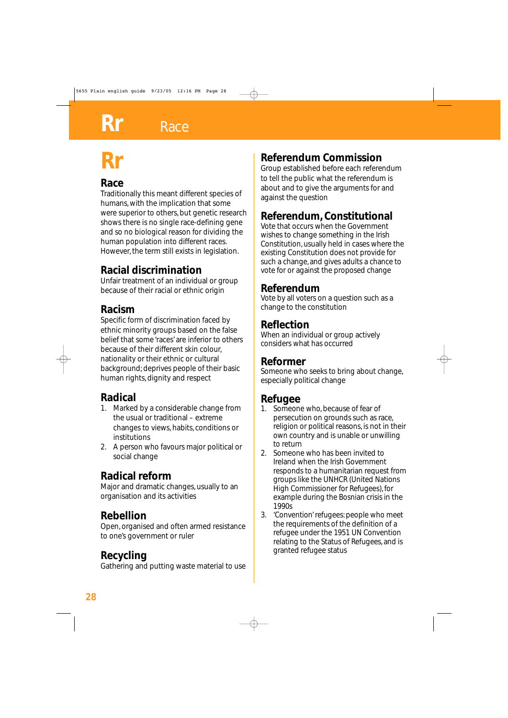# **Rr**

## **Race**

Traditionally this meant different species of humans, with the implication that some were superior to others, but genetic research shows there is no single race-defining gene and so no biological reason for dividing the human population into different races. However, the term still exists in legislation.

## **Racial discrimination**

Unfair treatment of an individual or group because of their racial or ethnic origin

## **Racism**

Specific form of discrimination faced by ethnic minority groups based on the false belief that some 'races' are inferior to others because of their different skin colour, nationality or their ethnic or cultural background; deprives people of their basic human rights, dignity and respect

# **Radical**

- 1. Marked by a considerable change from the usual or traditional – extreme changes to views, habits, conditions or institutions
- 2. A person who favours major political or social change

## **Radical reform**

Major and dramatic changes, usually to an organisation and its activities

## **Rebellion**

Open, organised and often armed resistance to one's government or ruler

## **Recycling**

Gathering and putting waste material to use

# **Referendum Commission**

Group established before each referendum to tell the public what the referendum is about and to give the arguments for and against the question

# **Referendum, Constitutional**

Vote that occurs when the Government wishes to change something in the Irish Constitution, usually held in cases where the existing Constitution does not provide for such a change, and gives adults a chance to vote for or against the proposed change

#### **Referendum**

Vote by all voters on a question such as a change to the constitution

#### **Reflection**

When an individual or group actively considers what has occurred

#### **Reformer**

Someone who seeks to bring about change, especially political change

## **Refugee**

- 1. Someone who, because of fear of persecution on grounds such as race, religion or political reasons, is not in their own country and is unable or unwilling to return
- 2. Someone who has been invited to Ireland when the Irish Government responds to a humanitarian request from groups like the UNHCR (United Nations High Commissioner for Refugees), for example during the Bosnian crisis in the 1990s
- 3. 'Convention' refugees: people who meet the requirements of the definition of a refugee under the 1951 UN Convention relating to the Status of Refugees, and is granted refugee status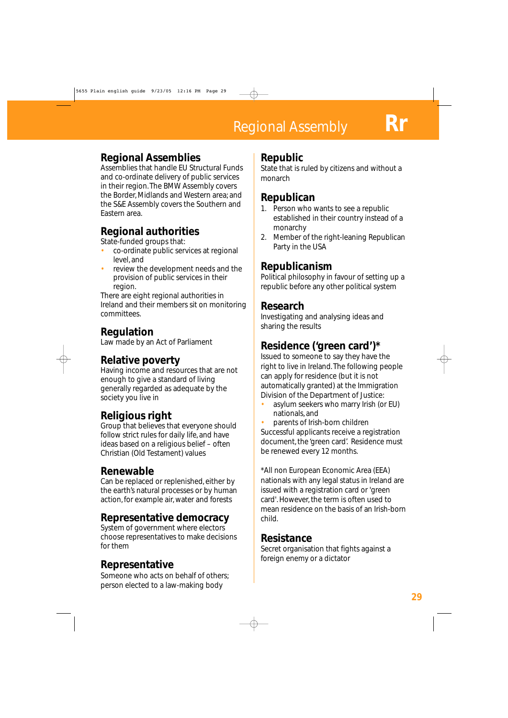#### **Regional Assemblies**

Assemblies that handle EU Structural Funds and co-ordinate delivery of public services in their region. The BMW Assembly covers the Border, Midlands and Western area; and the S&E Assembly covers the Southern and Eastern area.

#### **Regional authorities**

State-funded groups that:

- co-ordinate public services at regional level, and
- review the development needs and the provision of public services in their region.

There are eight regional authorities in Ireland and their members sit on monitoring committees.

#### **Regulation**

Law made by an Act of Parliament

#### **Relative poverty**

Having income and resources that are not enough to give a standard of living generally regarded as adequate by the society you live in

## **Religious right**

Group that believes that everyone should follow strict rules for daily life, and have ideas based on a religious belief – often Christian (Old Testament) values

#### **Renewable**

Can be replaced or replenished, either by the earth's natural processes or by human action, for example air, water and forests

#### **Representative democracy**

System of government where electors choose representatives to make decisions for them

## **Representative**

Someone who acts on behalf of others; person elected to a law-making body

#### **Republic**

State that is ruled by citizens and without a monarch

#### **Republican**

- 1. Person who wants to see a republic established in their country instead of a monarchy
- 2. Member of the right-leaning Republican Party in the USA

## **Republicanism**

Political philosophy in favour of setting up a republic before any other political system

#### **Research**

Investigating and analysing ideas and sharing the results

# **Residence ('green card')\***

Issued to someone to say they have the right to live in Ireland. The following people can apply for residence (but it is not automatically granted) at the Immigration Division of the Department of Justice:

• asylum seekers who marry Irish (or EU) nationals, and

• parents of Irish-born children Successful applicants receive a registration document, the 'green card'. Residence must be renewed every 12 months.

\*All non European Economic Area (EEA) nationals with any legal status in Ireland are issued with a registration card or 'green card'. However, the term is often used to mean residence on the basis of an Irish-born child.

#### **Resistance**

Secret organisation that fights against a foreign enemy or a dictator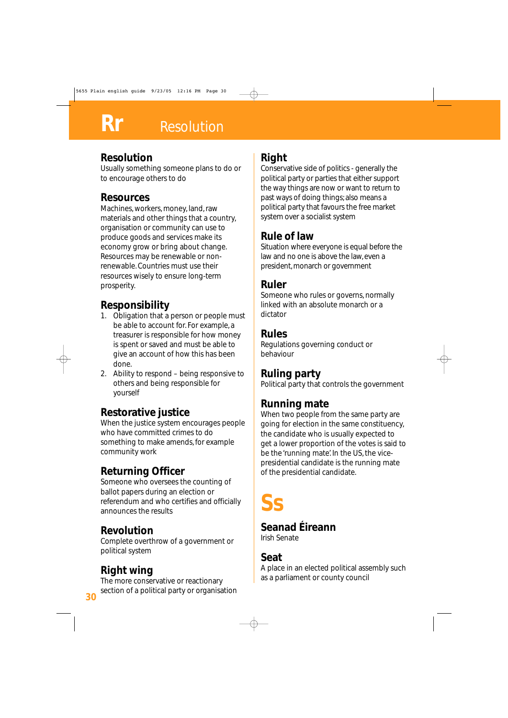# **Resolution**

#### **Resolution**

Usually something someone plans to do or to encourage others to do

#### **Resources**

Machines, workers, money, land, raw materials and other things that a country, organisation or community can use to produce goods and services make its economy grow or bring about change. Resources may be renewable or nonrenewable. Countries must use their resources wisely to ensure long-term prosperity.

# **Responsibility**

- 1. Obligation that a person or people must be able to account for. For example, a treasurer is responsible for how money is spent or saved and must be able to give an account of how this has been done.
- 2. Ability to respond being responsive to others and being responsible for yourself

# **Restorative justice**

When the justice system encourages people who have committed crimes to do something to make amends, for example community work

# **Returning Officer**

Someone who oversees the counting of ballot papers during an election or referendum and who certifies and officially announces the results

## **Revolution**

Complete overthrow of a government or political system

#### **Right wing**

The more conservative or reactionary section of a political party or organisation

# **Right**

Conservative side of politics - generally the political party or parties that either support the way things are now or want to return to past ways of doing things; also means a political party that favours the free market system over a socialist system

#### **Rule of law**

Situation where everyone is equal before the law and no one is above the law, even a president, monarch or government

#### **Ruler**

Someone who rules or governs, normally linked with an absolute monarch or a dictator

#### **Rules**

Regulations governing conduct or behaviour

## **Ruling party**

Political party that controls the government

## **Running mate**

When two people from the same party are going for election in the same constituency, the candidate who is usually expected to get a lower proportion of the votes is said to be the 'running mate'. In the US, the vicepresidential candidate is the running mate of the presidential candidate.

**Ss**

## **Seanad Éireann**

Irish Senate

#### **Seat**

A place in an elected political assembly such as a parliament or county council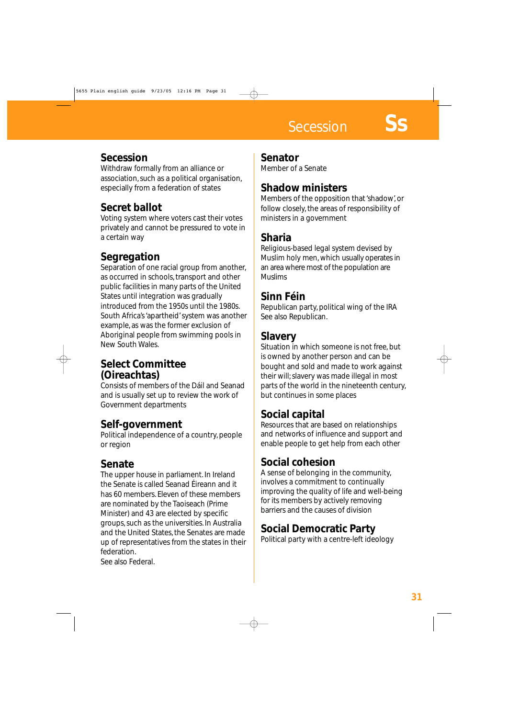**Secession** 

#### **Secession**

Withdraw formally from an alliance or association, such as a political organisation, especially from a federation of states

## **Secret ballot**

Voting system where voters cast their votes privately and cannot be pressured to vote in a certain way

## **Segregation**

Separation of one racial group from another, as occurred in schools, transport and other public facilities in many parts of the United States until integration was gradually introduced from the 1950s until the 1980s. South Africa's 'apartheid' system was another example, as was the former exclusion of Aboriginal people from swimming pools in New South Wales.

#### **Select Committee (Oireachtas)**

Consists of members of the Dáil and Seanad and is usually set up to review the work of Government departments

#### **Self-government**

Political independence of a country, people or region

#### **Senate**

The upper house in parliament. In Ireland the Senate is called Seanad Éireann and it has 60 members. Eleven of these members are nominated by the Taoiseach (Prime Minister) and 43 are elected by specific groups, such as the universities. In Australia and the United States, the Senates are made up of representatives from the states in their federation.

See also Federal.

#### **Senator**

Member of a Senate

#### **Shadow ministers**

Members of the opposition that 'shadow', or follow closely, the areas of responsibility of ministers in a government

#### **Sharia**

Religious-based legal system devised by Muslim holy men, which usually operates in an area where most of the population are Muslims

#### **Sinn Féin**

Republican party, political wing of the IRA See also Republican.

#### **Slavery**

Situation in which someone is not free, but is owned by another person and can be bought and sold and made to work against their will; slavery was made illegal in most parts of the world in the nineteenth century, but continues in some places

## **Social capital**

Resources that are based on relationships and networks of influence and support and enable people to get help from each other

## **Social cohesion**

A sense of belonging in the community, involves a commitment to continually improving the quality of life and well-being for its members by actively removing barriers and the causes of division

#### **Social Democratic Party**

Political party with a centre-left ideology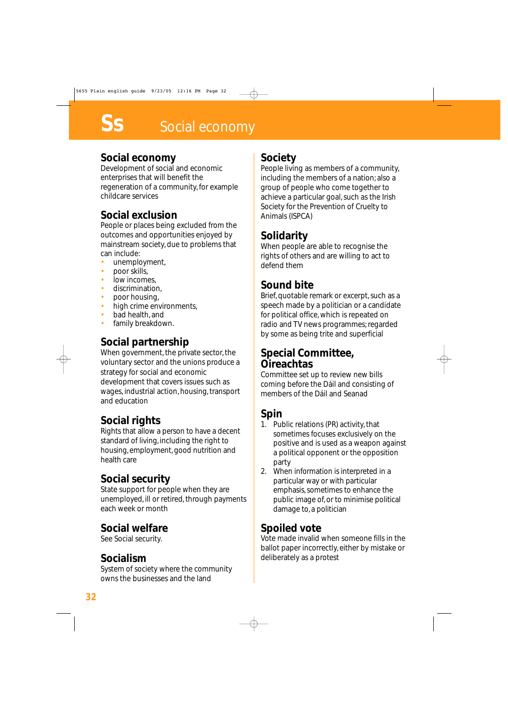#### **Social economy**

Development of social and economic enterprises that will benefit the regeneration of a community, for example childcare services

#### **Social exclusion**

People or places being excluded from the outcomes and opportunities enjoyed by mainstream society, due to problems that can include:

- unemployment,
- poor skills,
- low incomes.
- discrimination,
- poor housing,
- high crime environments,
- bad health, and
- family breakdown.

#### **Social partnership**

When government, the private sector, the voluntary sector and the unions produce a strategy for social and economic development that covers issues such as wages, industrial action, housing, transport and education

#### **Social rights**

Rights that allow a person to have a decent standard of living, including the right to housing, employment, good nutrition and health care

#### **Social security**

State support for people when they are unemployed, ill or retired, through payments each week or month

#### **Social welfare**

See Social security.

#### **Socialism**

System of society where the community owns the businesses and the land

#### **Society**

People living as members of a community, including the members of a nation; also a group of people who come together to achieve a particular goal, such as the Irish Society for the Prevention of Cruelty to Animals (ISPCA)

## **Solidarity**

When people are able to recognise the rights of others and are willing to act to defend them

#### **Sound bite**

Brief, quotable remark or excerpt, such as a speech made by a politician or a candidate for political office, which is repeated on radio and TV news programmes; regarded by some as being trite and superficial

#### **Special Committee, Oireachtas**

Committee set up to review new bills coming before the Dáil and consisting of members of the Dáil and Seanad

## **Spin**

- 1. Public relations (PR) activity, that sometimes focuses exclusively on the positive and is used as a weapon against a political opponent or the opposition party
- 2. When information is interpreted in a particular way or with particular emphasis, sometimes to enhance the public image of, or to minimise political damage to, a politician

#### **Spoiled vote**

Vote made invalid when someone fills in the ballot paper incorrectly, either by mistake or deliberately as a protest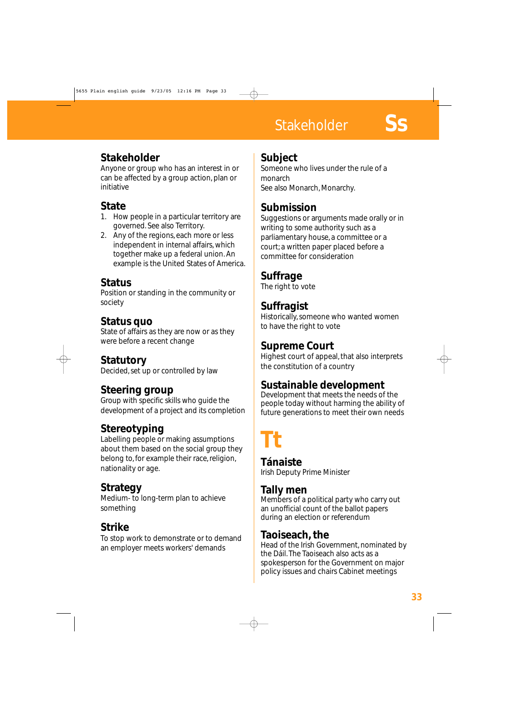# **Stakeholder**

## **Stakeholder**

Anyone or group who has an interest in or can be affected by a group action, plan or initiative

## **State**

- 1. How people in a particular territory are governed. See also Territory.
- 2. Any of the regions, each more or less independent in internal affairs, which together make up a federal union. An example is the United States of America.

#### **Status**

Position or standing in the community or society

#### **Status quo**

State of affairs as they are now or as they were before a recent change

#### **Statutory**

Decided, set up or controlled by law

## **Steering group**

Group with specific skills who guide the development of a project and its completion

## **Stereotyping**

Labelling people or making assumptions about them based on the social group they belong to, for example their race, religion, nationality or age.

#### **Strategy**

Medium- to long-term plan to achieve something

## **Strike**

To stop work to demonstrate or to demand an employer meets workers' demands

## **Subject**

Someone who lives under the rule of a monarch See also Monarch, Monarchy.

## **Submission**

Suggestions or arguments made orally or in writing to some authority such as a parliamentary house, a committee or a court; a written paper placed before a committee for consideration

#### **Suffrage**

The right to vote

## **Suffragist**

Historically, someone who wanted women to have the right to vote

## **Supreme Court**

Highest court of appeal, that also interprets the constitution of a country

## **Sustainable development**

Development that meets the needs of the people today without harming the ability of future generations to meet their own needs

# **Tt**

**Tánaiste** Irish Deputy Prime Minister

#### **Tally men**

Members of a political party who carry out an unofficial count of the ballot papers during an election or referendum

#### **Taoiseach, the**

Head of the Irish Government, nominated by the Dáil. The Taoiseach also acts as a spokesperson for the Government on major policy issues and chairs Cabinet meetings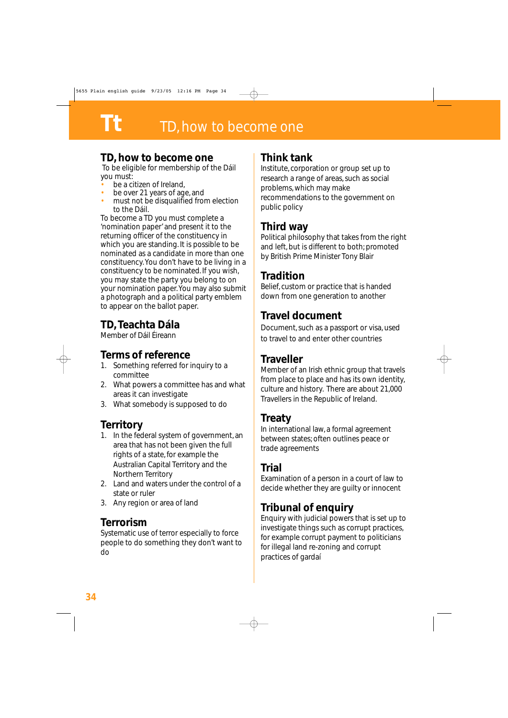#### **TD, how to become one**

To be eligible for membership of the Dáil you must:

- be a citizen of Ireland.
- be over 21 years of age, and
- must not be disqualified from election to the Dáil.

To become a TD you must complete a 'nomination paper' and present it to the returning officer of the constituency in which you are standing. It is possible to be nominated as a candidate in more than one constituency. You don't have to be living in a constituency to be nominated. If you wish, you may state the party you belong to on your nomination paper. You may also submit a photograph and a political party emblem to appear on the ballot paper.

# **TD, Teachta Dála**

Member of Dáil Éireann

## **Terms of reference**

- 1. Something referred for inquiry to a committee
- 2. What powers a committee has and what areas it can investigate
- 3. What somebody is supposed to do

## **Territory**

- 1. In the federal system of government, an area that has not been given the full rights of a state, for example the Australian Capital Territory and the Northern Territory
- 2. Land and waters under the control of a state or ruler
- 3. Any region or area of land

#### **Terrorism**

Systematic use of terror especially to force people to do something they don't want to do

#### **Think tank**

Institute, corporation or group set up to research a range of areas, such as social problems, which may make recommendations to the government on public policy

#### **Third way**

Political philosophy that takes from the right and left, but is different to both; promoted by British Prime Minister Tony Blair

#### **Tradition**

Belief, custom or practice that is handed down from one generation to another

#### **Travel document**

Document, such as a passport or visa, used to travel to and enter other countries

#### **Traveller**

Member of an Irish ethnic group that travels from place to place and has its own identity, culture and history. There are about 21,000 Travellers in the Republic of Ireland.

#### **Treaty**

In international law, a formal agreement between states; often outlines peace or trade agreements

#### **Trial**

Examination of a person in a court of law to decide whether they are guilty or innocent

## **Tribunal of enquiry**

Enquiry with judicial powers that is set up to investigate things such as corrupt practices, for example corrupt payment to politicians for illegal land re-zoning and corrupt practices of gardaí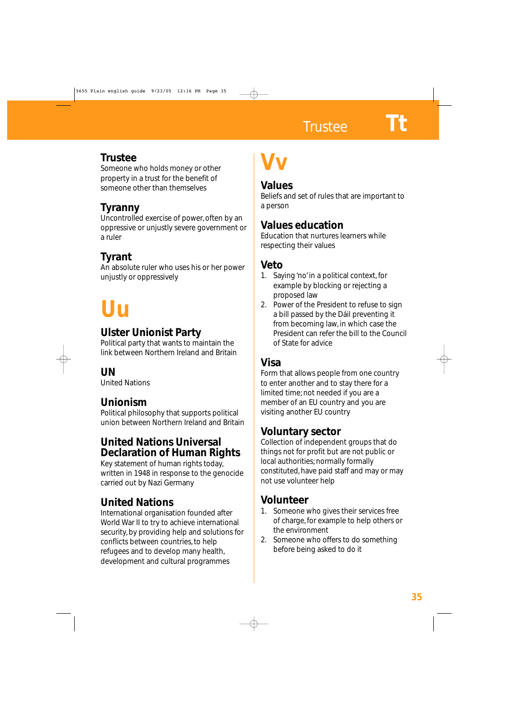# **Trustee**

Someone who holds money or other property in a trust for the benefit of someone other than themselves

## **Tyranny**

Uncontrolled exercise of power, often by an oppressive or unjustly severe government or a ruler

# **Tyrant**

An absolute ruler who uses his or her power unjustly or oppressively

# **Uu**

## **Ulster Unionist Party**

Political party that wants to maintain the link between Northern Ireland and Britain

#### **UN**

United Nations

## **Unionism**

Political philosophy that supports political union between Northern Ireland and Britain

#### **United Nations Universal Declaration of Human Rights**

Key statement of human rights today, written in 1948 in response to the genocide carried out by Nazi Germany

## **United Nations**

International organisation founded after World War II to try to achieve international security, by providing help and solutions for conflicts between countries, to help refugees and to develop many health, development and cultural programmes

# **Vv**

#### **Values**

Beliefs and set of rules that are important to a person

## **Values education**

Education that nurtures learners while respecting their values

## **Veto**

- 1. Saying 'no' in a political context, for example by blocking or rejecting a proposed law
- 2. Power of the President to refuse to sign a bill passed by the Dáil preventing it from becoming law, in which case the President can refer the bill to the Council of State for advice

# **Visa**

Form that allows people from one country to enter another and to stay there for a limited time; not needed if you are a member of an EU country and you are visiting another EU country

## **Voluntary sector**

Collection of independent groups that do things not for profit but are not public or local authorities; normally formally constituted, have paid staff and may or may not use volunteer help

## **Volunteer**

- 1. Someone who gives their services free of charge, for example to help others or the environment
- 2. Someone who offers to do something before being asked to do it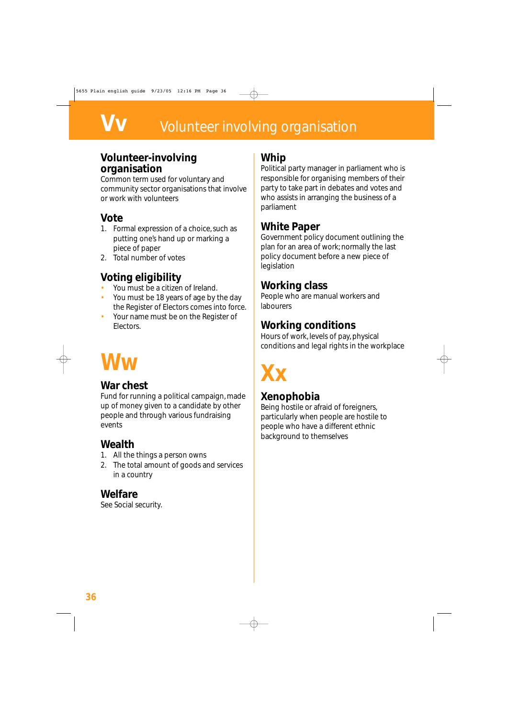# **Volunteer involving organisation**

#### **Volunteer-involving organisation**

Common term used for voluntary and community sector organisations that involve or work with volunteers

#### **Vote**

- 1. Formal expression of a choice, such as putting one's hand up or marking a piece of paper
- 2. Total number of votes

## **Voting eligibility**

- You must be a citizen of Ireland.
- You must be 18 years of age by the day the Register of Electors comes into force.
- Your name must be on the Register of Electors.

# **Ww**

#### **War chest**

Fund for running a political campaign, made up of money given to a candidate by other people and through various fundraising events

#### **Wealth**

- 1. All the things a person owns
- 2. The total amount of goods and services in a country

#### **Welfare**

See Social security.

#### **Whip**

Political party manager in parliament who is responsible for organising members of their party to take part in debates and votes and who assists in arranging the business of a parliament

#### **White Paper**

Government policy document outlining the plan for an area of work; normally the last policy document before a new piece of legislation

#### **Working class**

People who are manual workers and labourers

#### **Working conditions**

Hours of work, levels of pay, physical conditions and legal rights in the workplace

# **Xx**

## **Xenophobia**

Being hostile or afraid of foreigners, particularly when people are hostile to people who have a different ethnic background to themselves